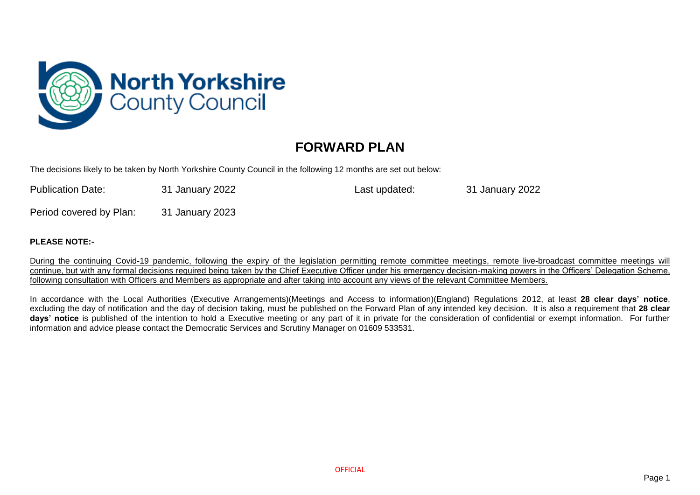

## **FORWARD PLAN**

The decisions likely to be taken by North Yorkshire County Council in the following 12 months are set out below:

| <b>Publication Date:</b> | 31 January 2022 | Last updated: | 31 January 2022 |
|--------------------------|-----------------|---------------|-----------------|
| Period covered by Plan:  | 31 January 2023 |               |                 |

## **PLEASE NOTE:-**

During the continuing Covid-19 pandemic, following the expiry of the legislation permitting remote committee meetings, remote live-broadcast committee meetings will continue, but with any formal decisions required being taken by the Chief Executive Officer under his emergency decision-making powers in the Officers' Delegation Scheme, following consultation with Officers and Members as appropriate and after taking into account any views of the relevant Committee Members.

In accordance with the Local Authorities (Executive Arrangements)(Meetings and Access to information)(England) Regulations 2012, at least **28 clear days' notice**, excluding the day of notification and the day of decision taking, must be published on the Forward Plan of any intended key decision. It is also a requirement that **28 clear days' notice** is published of the intention to hold a Executive meeting or any part of it in private for the consideration of confidential or exempt information. For further information and advice please contact the Democratic Services and Scrutiny Manager on 01609 533531.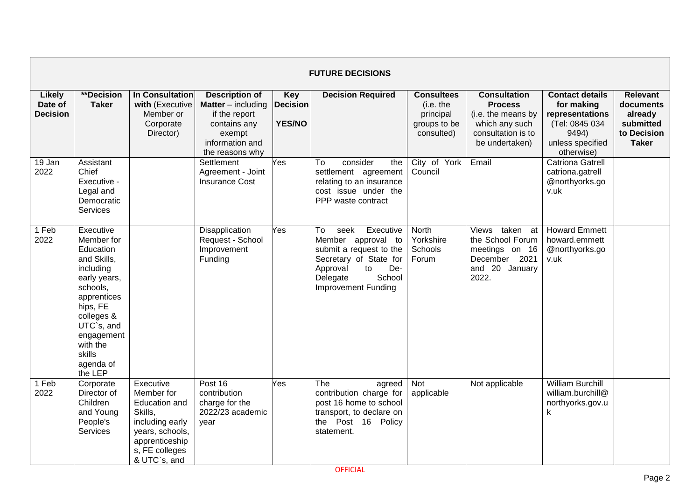|                                             | <b>FUTURE DECISIONS</b>                                                                                                                                                                                         |                                                                                                                                                      |                                                                                                                                       |                                                |                                                                                                                                                                                 |                                                                           |                                                                                                                       |                                                                                                                      |                                                                                     |  |  |  |
|---------------------------------------------|-----------------------------------------------------------------------------------------------------------------------------------------------------------------------------------------------------------------|------------------------------------------------------------------------------------------------------------------------------------------------------|---------------------------------------------------------------------------------------------------------------------------------------|------------------------------------------------|---------------------------------------------------------------------------------------------------------------------------------------------------------------------------------|---------------------------------------------------------------------------|-----------------------------------------------------------------------------------------------------------------------|----------------------------------------------------------------------------------------------------------------------|-------------------------------------------------------------------------------------|--|--|--|
| <b>Likely</b><br>Date of<br><b>Decision</b> | **Decision<br><b>Taker</b>                                                                                                                                                                                      | In Consultation<br>with (Executive<br>Member or<br>Corporate<br>Director)                                                                            | <b>Description of</b><br><b>Matter</b> $-$ including<br>if the report<br>contains any<br>exempt<br>information and<br>the reasons why | <b>Key</b><br><b>Decision</b><br><b>YES/NO</b> | <b>Decision Required</b>                                                                                                                                                        | <b>Consultees</b><br>(i.e. the<br>principal<br>groups to be<br>consulted) | <b>Consultation</b><br><b>Process</b><br>(i.e. the means by<br>which any such<br>consultation is to<br>be undertaken) | <b>Contact details</b><br>for making<br>representations<br>(Tel: 0845 034<br>9494)<br>unless specified<br>otherwise) | <b>Relevant</b><br>documents<br>already<br>submitted<br>to Decision<br><b>Taker</b> |  |  |  |
| 19 Jan<br>2022                              | Assistant<br>Chief<br>Executive -<br>Legal and<br>Democratic<br>Services                                                                                                                                        |                                                                                                                                                      | Settlement<br>Agreement - Joint<br><b>Insurance Cost</b>                                                                              | Yes                                            | To<br>consider<br>the<br>settlement agreement<br>relating to an insurance<br>cost issue under the<br>PPP waste contract                                                         | City of York<br>Council                                                   | Email                                                                                                                 | <b>Catriona Gatrell</b><br>catriona.gatrell<br>@northyorks.go<br>v.uk                                                |                                                                                     |  |  |  |
| 1 Feb<br>2022                               | Executive<br>Member for<br>Education<br>and Skills,<br>including<br>early years,<br>schools,<br>apprentices<br>hips, FE<br>colleges &<br>UTC`s, and<br>engagement<br>with the<br>skills<br>agenda of<br>the LEP |                                                                                                                                                      | Disapplication<br>Request - School<br>Improvement<br>Funding                                                                          | Yes                                            | Executive<br>To<br>seek<br>Member approval to<br>submit a request to the<br>Secretary of State for<br>Approval<br>De-<br>to<br>School<br>Delegate<br><b>Improvement Funding</b> | <b>North</b><br>Yorkshire<br><b>Schools</b><br>Forum                      | taken at<br>Views<br>the School Forum<br>meetings on 16<br>December 2021<br>and 20 January<br>2022.                   | <b>Howard Emmett</b><br>howard.emmett<br>@northyorks.go<br>v.uk                                                      |                                                                                     |  |  |  |
| 1 Feb<br>2022                               | Corporate<br>Director of<br>Children<br>and Young<br>People's<br>Services                                                                                                                                       | Executive<br>Member for<br><b>Education and</b><br>Skills,<br>including early<br>years, schools,<br>apprenticeship<br>s, FE colleges<br>& UTC`s, and | Post 16<br>contribution<br>charge for the<br>2022/23 academic<br>year                                                                 | Yes                                            | The<br>agreed<br>contribution charge for<br>post 16 home to school<br>transport, to declare on<br>the Post 16 Policy<br>statement.                                              | Not<br>applicable                                                         | Not applicable                                                                                                        | <b>William Burchill</b><br>william.burchill@<br>northyorks.gov.u<br>k                                                |                                                                                     |  |  |  |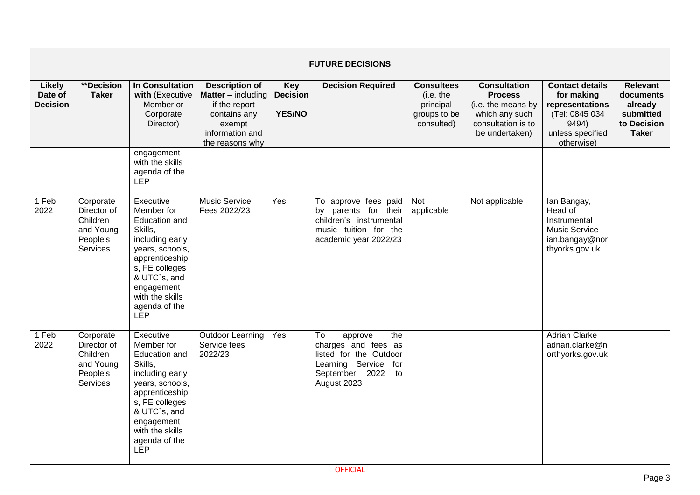|                                             | <b>FUTURE DECISIONS</b>                                                   |                                                                                                                                                                                                               |                                                                                                                                     |                                                |                                                                                                                                         |                                                                           |                                                                                                                       |                                                                                                                      |                                                                                     |  |  |
|---------------------------------------------|---------------------------------------------------------------------------|---------------------------------------------------------------------------------------------------------------------------------------------------------------------------------------------------------------|-------------------------------------------------------------------------------------------------------------------------------------|------------------------------------------------|-----------------------------------------------------------------------------------------------------------------------------------------|---------------------------------------------------------------------------|-----------------------------------------------------------------------------------------------------------------------|----------------------------------------------------------------------------------------------------------------------|-------------------------------------------------------------------------------------|--|--|
| <b>Likely</b><br>Date of<br><b>Decision</b> | **Decision<br><b>Taker</b>                                                | In Consultation<br>with (Executive<br>Member or<br>Corporate<br>Director)                                                                                                                                     | <b>Description of</b><br><b>Matter</b> – including<br>if the report<br>contains any<br>exempt<br>information and<br>the reasons why | <b>Key</b><br><b>Decision</b><br><b>YES/NO</b> | <b>Decision Required</b>                                                                                                                | <b>Consultees</b><br>(i.e. the<br>principal<br>groups to be<br>consulted) | <b>Consultation</b><br><b>Process</b><br>(i.e. the means by<br>which any such<br>consultation is to<br>be undertaken) | <b>Contact details</b><br>for making<br>representations<br>(Tel: 0845 034<br>9494)<br>unless specified<br>otherwise) | <b>Relevant</b><br>documents<br>already<br>submitted<br>to Decision<br><b>Taker</b> |  |  |
|                                             |                                                                           | engagement<br>with the skills<br>agenda of the<br><b>LEP</b>                                                                                                                                                  |                                                                                                                                     |                                                |                                                                                                                                         |                                                                           |                                                                                                                       |                                                                                                                      |                                                                                     |  |  |
| 1 Feb<br>2022                               | Corporate<br>Director of<br>Children<br>and Young<br>People's<br>Services | Executive<br>Member for<br>Education and<br>Skills,<br>including early<br>years, schools,<br>apprenticeship<br>s, FE colleges<br>& UTC's, and<br>engagement<br>with the skills<br>agenda of the<br><b>LEP</b> | <b>Music Service</b><br>Fees 2022/23                                                                                                | Yes                                            | To approve fees paid<br>by parents for their<br>children's instrumental<br>music tuition for the<br>academic year 2022/23               | <b>Not</b><br>applicable                                                  | Not applicable                                                                                                        | lan Bangay,<br>Head of<br>Instrumental<br><b>Music Service</b><br>ian.bangay@nor<br>thyorks.gov.uk                   |                                                                                     |  |  |
| 1 Feb<br>2022                               | Corporate<br>Director of<br>Children<br>and Young<br>People's<br>Services | Executive<br>Member for<br>Education and<br>Skills,<br>including early<br>years, schools,<br>apprenticeship<br>s, FE colleges<br>& UTC`s, and<br>engagement<br>with the skills<br>agenda of the<br>LEP        | Outdoor Learning<br>Service fees<br>2022/23                                                                                         | Yes                                            | To<br>approve<br>the<br>charges and fees as<br>listed for the Outdoor<br>Learning Service<br>for<br>September 2022<br>to<br>August 2023 |                                                                           |                                                                                                                       | <b>Adrian Clarke</b><br>adrian.clarke@n<br>orthyorks.gov.uk                                                          |                                                                                     |  |  |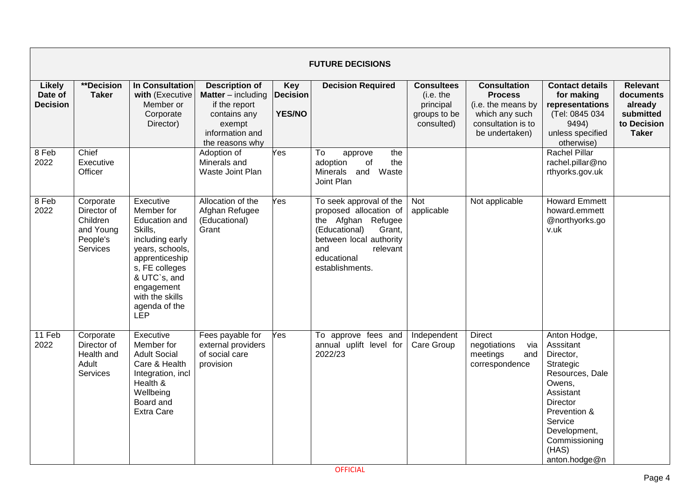|                                      | <b>FUTURE DECISIONS</b>                                                   |                                                                                                                                                                                                               |                                                                                                                                     |                                         |                                                                                                                                                                                    |                                                                           |                                                                                                                       |                                                                                                                                                                                                        |                                                                                     |  |  |  |
|--------------------------------------|---------------------------------------------------------------------------|---------------------------------------------------------------------------------------------------------------------------------------------------------------------------------------------------------------|-------------------------------------------------------------------------------------------------------------------------------------|-----------------------------------------|------------------------------------------------------------------------------------------------------------------------------------------------------------------------------------|---------------------------------------------------------------------------|-----------------------------------------------------------------------------------------------------------------------|--------------------------------------------------------------------------------------------------------------------------------------------------------------------------------------------------------|-------------------------------------------------------------------------------------|--|--|--|
| Likely<br>Date of<br><b>Decision</b> | <b>**Decision</b><br><b>Taker</b>                                         | In Consultation<br>with (Executive<br>Member or<br>Corporate<br>Director)                                                                                                                                     | <b>Description of</b><br><b>Matter</b> – including<br>if the report<br>contains any<br>exempt<br>information and<br>the reasons why | Key<br><b>Decision</b><br><b>YES/NO</b> | <b>Decision Required</b>                                                                                                                                                           | <b>Consultees</b><br>(i.e. the<br>principal<br>groups to be<br>consulted) | <b>Consultation</b><br><b>Process</b><br>(i.e. the means by<br>which any such<br>consultation is to<br>be undertaken) | <b>Contact details</b><br>for making<br>representations<br>(Tel: 0845 034<br>9494)<br>unless specified<br>otherwise)                                                                                   | <b>Relevant</b><br>documents<br>already<br>submitted<br>to Decision<br><b>Taker</b> |  |  |  |
| 8 Feb<br>2022                        | Chief<br>Executive<br>Officer                                             |                                                                                                                                                                                                               | Adoption of<br>Minerals and<br>Waste Joint Plan                                                                                     | Yes                                     | To<br>the<br>approve<br>adoption<br>of<br>the<br>Minerals and<br>Waste<br>Joint Plan                                                                                               |                                                                           |                                                                                                                       | Rachel Pillar<br>rachel.pillar@no<br>rthyorks.gov.uk                                                                                                                                                   |                                                                                     |  |  |  |
| 8 Feb<br>2022                        | Corporate<br>Director of<br>Children<br>and Young<br>People's<br>Services | Executive<br>Member for<br>Education and<br>Skills,<br>including early<br>years, schools,<br>apprenticeship<br>s, FE colleges<br>& UTC`s, and<br>engagement<br>with the skills<br>agenda of the<br><b>LEP</b> | Allocation of the<br>Afghan Refugee<br>(Educational)<br>Grant                                                                       | Yes                                     | To seek approval of the<br>proposed allocation of<br>the Afghan Refugee<br>Grant,<br>(Educational)<br>between local authority<br>and<br>relevant<br>educational<br>establishments. | Not<br>applicable                                                         | Not applicable                                                                                                        | <b>Howard Emmett</b><br>howard.emmett<br>@northyorks.go<br>v.uk                                                                                                                                        |                                                                                     |  |  |  |
| 11 Feb<br>2022                       | Corporate<br>Director of<br>Health and<br>Adult<br>Services               | Executive<br>Member for<br><b>Adult Social</b><br>Care & Health<br>Integration, incl<br>Health &<br>Wellbeing<br>Board and<br><b>Extra Care</b>                                                               | Fees payable for<br>external providers<br>of social care<br>provision                                                               | Yes                                     | To approve fees and<br>annual uplift level for<br>2022/23                                                                                                                          | Independent<br>Care Group                                                 | <b>Direct</b><br>negotiations<br>via<br>meetings<br>and<br>correspondence                                             | Anton Hodge,<br>Asssitant<br>Director,<br>Strategic<br>Resources, Dale<br>Owens,<br>Assistant<br><b>Director</b><br>Prevention &<br>Service<br>Development,<br>Commissioning<br>(HAS)<br>anton.hodge@n |                                                                                     |  |  |  |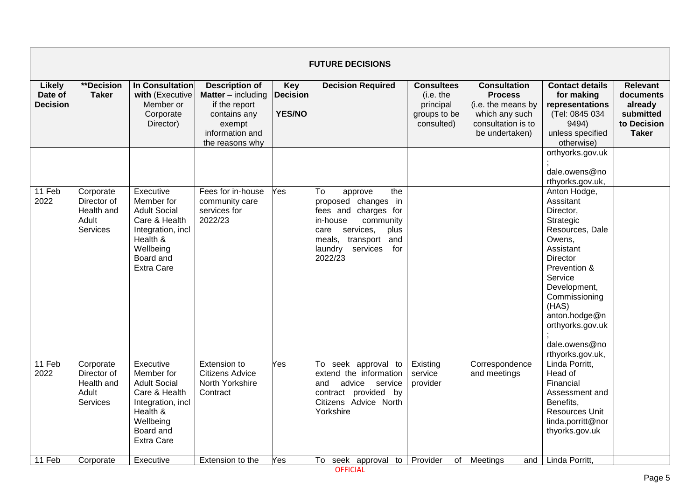| <b>FUTURE DECISIONS</b>              |                                                                          |                                                                                                                                                              |                                                                                                                                     |                                                |                                                                                                                                                                                               |                                                                           |                                                                                                                       |                                                                                                                                                                                                                                                                                                                          |                                                                                     |  |  |
|--------------------------------------|--------------------------------------------------------------------------|--------------------------------------------------------------------------------------------------------------------------------------------------------------|-------------------------------------------------------------------------------------------------------------------------------------|------------------------------------------------|-----------------------------------------------------------------------------------------------------------------------------------------------------------------------------------------------|---------------------------------------------------------------------------|-----------------------------------------------------------------------------------------------------------------------|--------------------------------------------------------------------------------------------------------------------------------------------------------------------------------------------------------------------------------------------------------------------------------------------------------------------------|-------------------------------------------------------------------------------------|--|--|
| Likely<br>Date of<br><b>Decision</b> | **Decision<br><b>Taker</b>                                               | <b>In Consultation</b><br>with (Executive<br>Member or<br>Corporate<br>Director)                                                                             | <b>Description of</b><br><b>Matter</b> – including<br>if the report<br>contains any<br>exempt<br>information and<br>the reasons why | <b>Key</b><br><b>Decision</b><br><b>YES/NO</b> | <b>Decision Required</b>                                                                                                                                                                      | <b>Consultees</b><br>(i.e. the<br>principal<br>groups to be<br>consulted) | <b>Consultation</b><br><b>Process</b><br>(i.e. the means by<br>which any such<br>consultation is to<br>be undertaken) | <b>Contact details</b><br>for making<br>representations<br>(Tel: 0845 034<br>9494)<br>unless specified<br>otherwise)                                                                                                                                                                                                     | <b>Relevant</b><br>documents<br>already<br>submitted<br>to Decision<br><b>Taker</b> |  |  |
| 11 Feb<br>2022                       | Corporate<br>Director of<br>Health and<br>Adult<br>Services              | Executive<br>Member for<br><b>Adult Social</b><br>Care & Health<br>Integration, incl<br>Health &<br>Wellbeing<br>Board and<br><b>Extra Care</b>              | Fees for in-house<br>community care<br>services for<br>2022/23                                                                      | Yes                                            | To<br>the<br>approve<br>proposed changes in<br>fees and charges for<br>in-house<br>community<br>services,<br>plus<br>care<br>transport and<br>meals,<br>laundry<br>services<br>for<br>2022/23 |                                                                           |                                                                                                                       | orthyorks.gov.uk<br>dale.owens@no<br>rthyorks.gov.uk,<br>Anton Hodge,<br>Asssitant<br>Director,<br>Strategic<br>Resources, Dale<br>Owens,<br>Assistant<br><b>Director</b><br>Prevention &<br>Service<br>Development,<br>Commissioning<br>(HAS)<br>anton.hodge@n<br>orthyorks.gov.uk<br>dale.owens@no<br>rthyorks.gov.uk, |                                                                                     |  |  |
| 11 Feb<br>2022<br>11 Feb             | Corporate<br>Director of<br>Health and<br>Adult<br>Services<br>Corporate | Executive<br>Member for<br><b>Adult Social</b><br>Care & Health<br>Integration, incl<br>Health &<br>Wellbeing<br>Board and<br><b>Extra Care</b><br>Executive | Extension to<br><b>Citizens Advice</b><br>North Yorkshire<br>Contract<br>Extension to the                                           | Yes<br>Yes                                     | To seek approval to<br>extend the information<br>and<br>advice<br>service<br>contract provided by<br>Citizens Advice North<br>Yorkshire<br>To seek approval<br>to                             | Existing<br>service<br>provider<br>Provider<br>of <sub>l</sub>            | Correspondence<br>and meetings<br>Meetings<br>and                                                                     | Linda Porritt,<br>Head of<br>Financial<br>Assessment and<br>Benefits,<br>Resources Unit<br>linda.porritt@nor<br>thyorks.gov.uk<br>Linda Porritt,                                                                                                                                                                         |                                                                                     |  |  |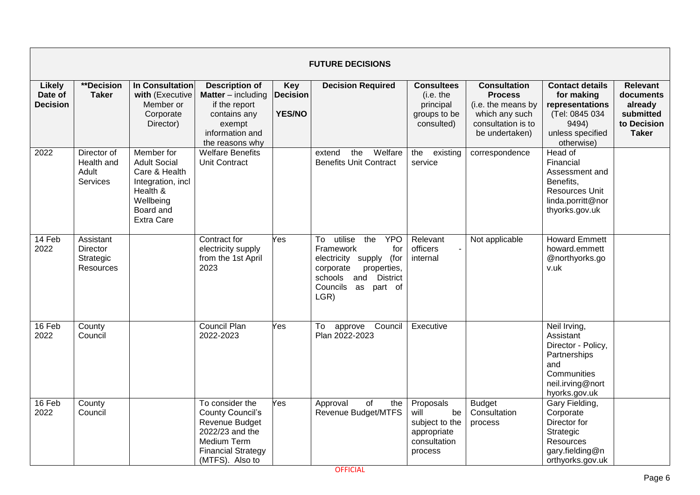|                                      |                                                               |                                                                                                                                    |                                                                                                                                                |                                                | <b>FUTURE DECISIONS</b>                                                                                                                                                           |                                                                                     |                                                                                                                       |                                                                                                                            |                                                                                     |
|--------------------------------------|---------------------------------------------------------------|------------------------------------------------------------------------------------------------------------------------------------|------------------------------------------------------------------------------------------------------------------------------------------------|------------------------------------------------|-----------------------------------------------------------------------------------------------------------------------------------------------------------------------------------|-------------------------------------------------------------------------------------|-----------------------------------------------------------------------------------------------------------------------|----------------------------------------------------------------------------------------------------------------------------|-------------------------------------------------------------------------------------|
| Likely<br>Date of<br><b>Decision</b> | **Decision<br><b>Taker</b>                                    | <b>In Consultation</b><br>with (Executive<br>Member or<br>Corporate<br>Director)                                                   | <b>Description of</b><br><b>Matter</b> $-$ including<br>if the report<br>contains any<br>exempt<br>information and<br>the reasons why          | <b>Key</b><br><b>Decision</b><br><b>YES/NO</b> | <b>Decision Required</b>                                                                                                                                                          | <b>Consultees</b><br>(i.e. the<br>principal<br>groups to be<br>consulted)           | <b>Consultation</b><br><b>Process</b><br>(i.e. the means by<br>which any such<br>consultation is to<br>be undertaken) | <b>Contact details</b><br>for making<br>representations<br>(Tel: 0845 034<br>9494)<br>unless specified<br>otherwise)       | <b>Relevant</b><br>documents<br>already<br>submitted<br>to Decision<br><b>Taker</b> |
| 2022                                 | Director of<br>Health and<br>Adult<br>Services                | Member for<br><b>Adult Social</b><br>Care & Health<br>Integration, incl<br>Health &<br>Wellbeing<br>Board and<br><b>Extra Care</b> | <b>Welfare Benefits</b><br><b>Unit Contract</b>                                                                                                |                                                | the<br>Welfare<br>extend<br><b>Benefits Unit Contract</b>                                                                                                                         | the<br>existing<br>service                                                          | correspondence                                                                                                        | Head of<br>Financial<br>Assessment and<br>Benefits,<br><b>Resources Unit</b><br>linda.porritt@nor<br>thyorks.gov.uk        |                                                                                     |
| 14 Feb<br>2022                       | Assistant<br><b>Director</b><br>Strategic<br><b>Resources</b> |                                                                                                                                    | Contract for<br>electricity supply<br>from the 1st April<br>2023                                                                               | Yes                                            | utilise<br>the<br><b>YPO</b><br>To<br>Framework<br>for<br>electricity supply (for<br>corporate<br>properties,<br><b>District</b><br>schools<br>and<br>Councils as part of<br>LGR) | Relevant<br>officers<br>internal                                                    | Not applicable                                                                                                        | <b>Howard Emmett</b><br>howard.emmett<br>@northyorks.go<br>v.uk                                                            |                                                                                     |
| 16 Feb<br>2022                       | County<br>Council                                             |                                                                                                                                    | <b>Council Plan</b><br>2022-2023                                                                                                               | Yes                                            | approve Council<br>To<br>Plan 2022-2023                                                                                                                                           | Executive                                                                           |                                                                                                                       | Neil Irving,<br>Assistant<br>Director - Policy,<br>Partnerships<br>and<br>Communities<br>neil.irving@nort<br>hyorks.gov.uk |                                                                                     |
| 16 Feb<br>2022                       | County<br>Council                                             |                                                                                                                                    | To consider the<br><b>County Council's</b><br>Revenue Budget<br>2022/23 and the<br>Medium Term<br><b>Financial Strategy</b><br>(MTFS). Also to | Yes                                            | Approval<br>of<br>the<br><b>Revenue Budget/MTFS</b>                                                                                                                               | Proposals<br>will<br>be<br>subject to the<br>appropriate<br>consultation<br>process | <b>Budget</b><br>Consultation<br>process                                                                              | Gary Fielding,<br>Corporate<br>Director for<br>Strategic<br><b>Resources</b><br>gary.fielding@n<br>orthyorks.gov.uk        |                                                                                     |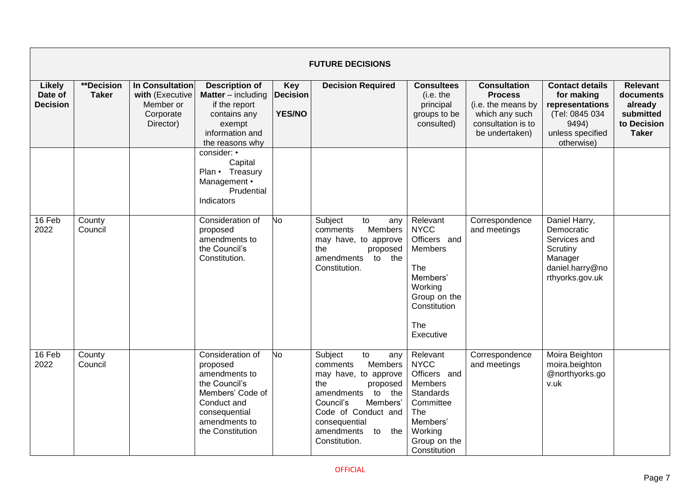|                                             | <b>FUTURE DECISIONS</b>    |                                                                           |                                                                                                                                                                                                                              |                                         |                                                                                                                                                                                                                             |                                                                                                                                                   |                                                                                                                       |                                                                                                                      |                                                                                     |  |  |
|---------------------------------------------|----------------------------|---------------------------------------------------------------------------|------------------------------------------------------------------------------------------------------------------------------------------------------------------------------------------------------------------------------|-----------------------------------------|-----------------------------------------------------------------------------------------------------------------------------------------------------------------------------------------------------------------------------|---------------------------------------------------------------------------------------------------------------------------------------------------|-----------------------------------------------------------------------------------------------------------------------|----------------------------------------------------------------------------------------------------------------------|-------------------------------------------------------------------------------------|--|--|
| <b>Likely</b><br>Date of<br><b>Decision</b> | **Decision<br><b>Taker</b> | In Consultation<br>with (Executive<br>Member or<br>Corporate<br>Director) | <b>Description of</b><br><b>Matter</b> – including<br>if the report<br>contains any<br>exempt<br>information and<br>the reasons why<br>consider: •<br>Capital<br>Plan • Treasury<br>Management •<br>Prudential<br>Indicators | Key<br><b>Decision</b><br><b>YES/NO</b> | <b>Decision Required</b>                                                                                                                                                                                                    | <b>Consultees</b><br>(i.e. the<br>principal<br>groups to be<br>consulted)                                                                         | <b>Consultation</b><br><b>Process</b><br>(i.e. the means by<br>which any such<br>consultation is to<br>be undertaken) | <b>Contact details</b><br>for making<br>representations<br>(Tel: 0845 034<br>9494)<br>unless specified<br>otherwise) | <b>Relevant</b><br>documents<br>already<br>submitted<br>to Decision<br><b>Taker</b> |  |  |
| 16 Feb<br>2022                              | County<br>Council          |                                                                           | Consideration of<br>proposed<br>amendments to<br>the Council's<br>Constitution.                                                                                                                                              | No                                      | Subject<br>to<br>any<br>Members<br>comments<br>may have, to approve<br>the<br>proposed<br>to the<br>amendments<br>Constitution.                                                                                             | Relevant<br><b>NYCC</b><br>Officers and<br><b>Members</b><br>The<br>Members'<br>Working<br>Group on the<br>Constitution<br>The<br>Executive       | Correspondence<br>and meetings                                                                                        | Daniel Harry,<br>Democratic<br>Services and<br>Scrutiny<br>Manager<br>daniel.harry@no<br>rthyorks.gov.uk             |                                                                                     |  |  |
| 16 Feb<br>2022                              | County<br>Council          |                                                                           | Consideration of<br>proposed<br>amendments to<br>the Council's<br>Members' Code of<br>Conduct and<br>consequential<br>amendments to<br>the Constitution                                                                      | No                                      | Subject<br>to<br>any<br>Members<br>comments<br>may have, to approve<br>the<br>proposed<br>to the<br>amendments<br>Council's<br>Members'<br>Code of Conduct and<br>consequential<br>amendments<br>the<br>to<br>Constitution. | Relevant<br><b>NYCC</b><br>Officers and<br>Members<br><b>Standards</b><br>Committee<br>The<br>Members'<br>Working<br>Group on the<br>Constitution | Correspondence<br>and meetings                                                                                        | Moira Beighton<br>moira.beighton<br>@northyorks.go<br>v.uk                                                           |                                                                                     |  |  |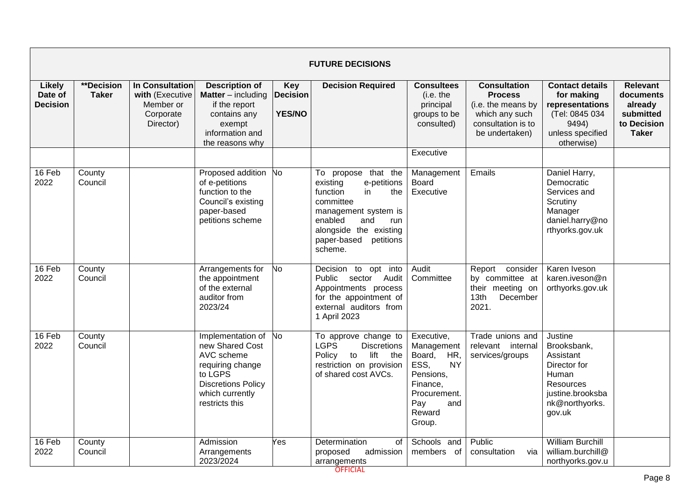|                                      | <b>FUTURE DECISIONS</b>           |                                                                                  |                                                                                                                                                        |                                                |                                                                                                                                                                                                        |                                                                                                                                           |                                                                                                                       |                                                                                                                                  |                                                                                     |  |  |
|--------------------------------------|-----------------------------------|----------------------------------------------------------------------------------|--------------------------------------------------------------------------------------------------------------------------------------------------------|------------------------------------------------|--------------------------------------------------------------------------------------------------------------------------------------------------------------------------------------------------------|-------------------------------------------------------------------------------------------------------------------------------------------|-----------------------------------------------------------------------------------------------------------------------|----------------------------------------------------------------------------------------------------------------------------------|-------------------------------------------------------------------------------------|--|--|
| Likely<br>Date of<br><b>Decision</b> | <b>**Decision</b><br><b>Taker</b> | <b>In Consultation</b><br>with (Executive<br>Member or<br>Corporate<br>Director) | <b>Description of</b><br><b>Matter</b> – including<br>if the report<br>contains any<br>exempt<br>information and<br>the reasons why                    | <b>Key</b><br><b>Decision</b><br><b>YES/NO</b> | <b>Decision Required</b>                                                                                                                                                                               | <b>Consultees</b><br>(i.e. the<br>principal<br>groups to be<br>consulted)                                                                 | <b>Consultation</b><br><b>Process</b><br>(i.e. the means by<br>which any such<br>consultation is to<br>be undertaken) | <b>Contact details</b><br>for making<br>representations<br>(Tel: 0845 034<br>9494)<br>unless specified<br>otherwise)             | <b>Relevant</b><br>documents<br>already<br>submitted<br>to Decision<br><b>Taker</b> |  |  |
|                                      |                                   |                                                                                  |                                                                                                                                                        |                                                |                                                                                                                                                                                                        | Executive                                                                                                                                 |                                                                                                                       |                                                                                                                                  |                                                                                     |  |  |
| 16 Feb<br>2022                       | County<br>Council                 |                                                                                  | Proposed addition<br>of e-petitions<br>function to the<br>Council's existing<br>paper-based<br>petitions scheme                                        | No                                             | To propose that the<br>e-petitions<br>existing<br>function<br>in<br>the<br>committee<br>management system is<br>enabled<br>and<br>run<br>alongside the existing<br>paper-based<br>petitions<br>scheme. | Management<br><b>Board</b><br>Executive                                                                                                   | Emails                                                                                                                | Daniel Harry,<br>Democratic<br>Services and<br>Scrutiny<br>Manager<br>daniel.harry@no<br>rthyorks.gov.uk                         |                                                                                     |  |  |
| 16 Feb<br>2022                       | County<br>Council                 |                                                                                  | Arrangements for<br>the appointment<br>of the external<br>auditor from<br>2023/24                                                                      | No.                                            | Decision to opt into<br>sector Audit<br>Public<br>Appointments process<br>for the appointment of<br>external auditors from<br>1 April 2023                                                             | Audit<br>Committee                                                                                                                        | Report<br>consider<br>by committee at<br>their meeting on<br>13 <sub>th</sub><br>December<br>2021.                    | Karen Iveson<br>karen.iveson@n<br>orthyorks.gov.uk                                                                               |                                                                                     |  |  |
| 16 Feb<br>2022                       | County<br>Council                 |                                                                                  | Implementation of No<br>new Shared Cost<br>AVC scheme<br>requiring change<br>to LGPS<br><b>Discretions Policy</b><br>which currently<br>restricts this |                                                | To approve change to<br><b>LGPS</b><br><b>Discretions</b><br>Policy<br>to<br>lift the<br>restriction on provision<br>of shared cost AVCs.                                                              | Executive,<br>Management<br>Board,<br>HR,<br>ESS,<br><b>NY</b><br>Pensions,<br>Finance,<br>Procurement.<br>Pay<br>and<br>Reward<br>Group. | Trade unions and<br>relevant internal<br>services/groups                                                              | Justine<br>Brooksbank,<br>Assistant<br>Director for<br>Human<br><b>Resources</b><br>justine.brooksba<br>nk@northyorks.<br>gov.uk |                                                                                     |  |  |
| 16 Feb<br>2022                       | County<br>Council                 |                                                                                  | Admission<br>Arrangements<br>2023/2024                                                                                                                 | Yes                                            | Determination<br>of<br>admission<br>proposed<br>arrangements                                                                                                                                           | Schools and<br>members of                                                                                                                 | Public<br>consultation<br>via                                                                                         | <b>William Burchill</b><br>william.burchill@<br>northyorks.gov.u                                                                 |                                                                                     |  |  |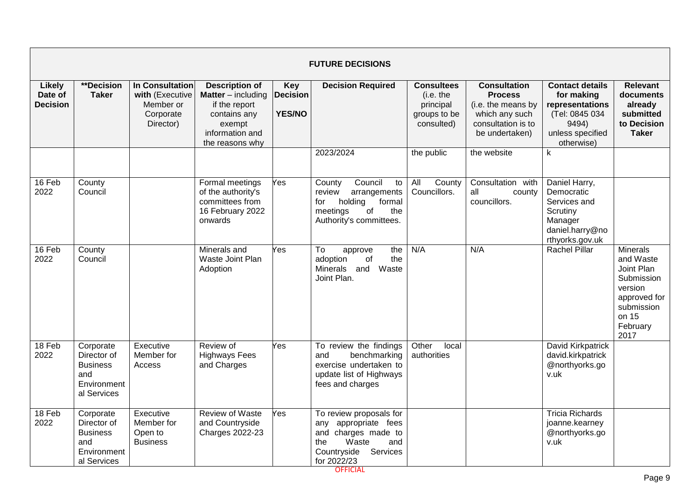|                                      | <b>FUTURE DECISIONS</b>                                                          |                                                                                  |                                                                                                                                     |                                                |                                                                                                                                            |                                                                           |                                                                                                                       |                                                                                                                      |                                                                                                                                |  |  |
|--------------------------------------|----------------------------------------------------------------------------------|----------------------------------------------------------------------------------|-------------------------------------------------------------------------------------------------------------------------------------|------------------------------------------------|--------------------------------------------------------------------------------------------------------------------------------------------|---------------------------------------------------------------------------|-----------------------------------------------------------------------------------------------------------------------|----------------------------------------------------------------------------------------------------------------------|--------------------------------------------------------------------------------------------------------------------------------|--|--|
| Likely<br>Date of<br><b>Decision</b> | <b>**Decision</b><br><b>Taker</b>                                                | <b>In Consultation</b><br>with (Executive<br>Member or<br>Corporate<br>Director) | <b>Description of</b><br><b>Matter</b> – including<br>if the report<br>contains any<br>exempt<br>information and<br>the reasons why | <b>Key</b><br><b>Decision</b><br><b>YES/NO</b> | <b>Decision Required</b>                                                                                                                   | <b>Consultees</b><br>(i.e. the<br>principal<br>groups to be<br>consulted) | <b>Consultation</b><br><b>Process</b><br>(i.e. the means by<br>which any such<br>consultation is to<br>be undertaken) | <b>Contact details</b><br>for making<br>representations<br>(Tel: 0845 034<br>9494)<br>unless specified<br>otherwise) | Relevant<br>documents<br>already<br>submitted<br>to Decision<br><b>Taker</b>                                                   |  |  |
|                                      |                                                                                  |                                                                                  |                                                                                                                                     |                                                | 2023/2024                                                                                                                                  | the public                                                                | the website                                                                                                           | k                                                                                                                    |                                                                                                                                |  |  |
| 16 Feb<br>2022                       | County<br>Council                                                                |                                                                                  | Formal meetings<br>of the authority's<br>committees from<br>16 February 2022<br>onwards                                             | Yes                                            | Council<br>County<br>to<br>arrangements<br>review<br>holding<br>formal<br>for<br>meetings<br>of<br>the<br>Authority's committees.          | All<br>County<br>Councillors.                                             | Consultation with<br>all<br>county<br>councillors.                                                                    | Daniel Harry,<br>Democratic<br>Services and<br>Scrutiny<br>Manager<br>daniel.harry@no<br>rthyorks.gov.uk             |                                                                                                                                |  |  |
| 16 Feb<br>2022                       | County<br>Council                                                                |                                                                                  | Minerals and<br>Waste Joint Plan<br>Adoption                                                                                        | Yes                                            | To<br>the<br>approve<br>adoption<br>of<br>the<br>Minerals and<br>Waste<br>Joint Plan.                                                      | N/A                                                                       | N/A                                                                                                                   | <b>Rachel Pillar</b>                                                                                                 | <b>Minerals</b><br>and Waste<br>Joint Plan<br>Submission<br>version<br>approved for<br>submission<br>on 15<br>February<br>2017 |  |  |
| 18 Feb<br>2022                       | Corporate<br>Director of<br><b>Business</b><br>and<br>Environment<br>al Services | Executive<br>Member for<br>Access                                                | Review of<br><b>Highways Fees</b><br>and Charges                                                                                    | Yes                                            | To review the findings<br>benchmarking<br>and<br>exercise undertaken to<br>update list of Highways<br>fees and charges                     | Other<br>local<br>authorities                                             |                                                                                                                       | David Kirkpatrick<br>david.kirkpatrick<br>@northyorks.go<br>v.uk                                                     |                                                                                                                                |  |  |
| 18 Feb<br>2022                       | Corporate<br>Director of<br><b>Business</b><br>and<br>Environment<br>al Services | Executive<br>Member for<br>Open to<br><b>Business</b>                            | <b>Review of Waste</b><br>and Countryside<br><b>Charges 2022-23</b>                                                                 | Yes                                            | To review proposals for<br>appropriate fees<br>anv<br>and charges made to<br>Waste<br>the<br>and<br>Countryside<br>Services<br>for 2022/23 |                                                                           |                                                                                                                       | <b>Tricia Richards</b><br>joanne.kearney<br>@northyorks.go<br>v.uk                                                   |                                                                                                                                |  |  |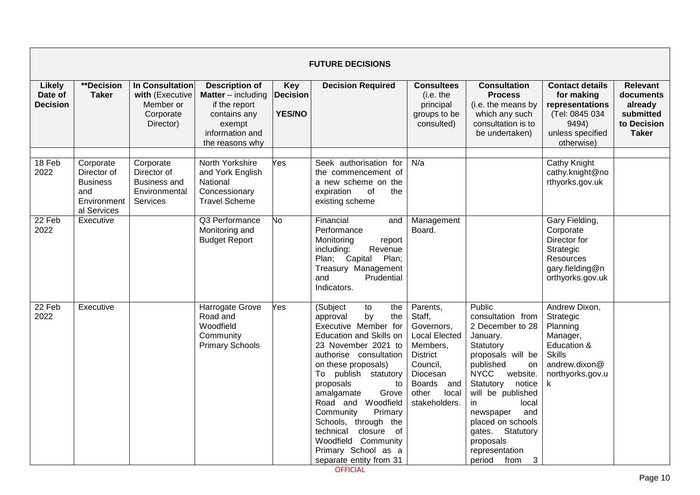|                                             | <b>FUTURE DECISIONS</b>                                                          |                                                                                  |                                                                                                                                       |                                                |                                                                                                                                                                                                                                                                                                                                                                                                                             |                                                                                                                                                                            |                                                                                                                                                                                                                                                                                                                                      |                                                                                                                              |                                                                                     |  |  |
|---------------------------------------------|----------------------------------------------------------------------------------|----------------------------------------------------------------------------------|---------------------------------------------------------------------------------------------------------------------------------------|------------------------------------------------|-----------------------------------------------------------------------------------------------------------------------------------------------------------------------------------------------------------------------------------------------------------------------------------------------------------------------------------------------------------------------------------------------------------------------------|----------------------------------------------------------------------------------------------------------------------------------------------------------------------------|--------------------------------------------------------------------------------------------------------------------------------------------------------------------------------------------------------------------------------------------------------------------------------------------------------------------------------------|------------------------------------------------------------------------------------------------------------------------------|-------------------------------------------------------------------------------------|--|--|
| <b>Likely</b><br>Date of<br><b>Decision</b> | <b>**Decision</b><br><b>Taker</b>                                                | <b>In Consultation</b><br>with (Executive<br>Member or<br>Corporate<br>Director) | <b>Description of</b><br><b>Matter</b> $-$ including<br>if the report<br>contains any<br>exempt<br>information and<br>the reasons why | <b>Key</b><br><b>Decision</b><br><b>YES/NO</b> | <b>Decision Required</b>                                                                                                                                                                                                                                                                                                                                                                                                    | <b>Consultees</b><br>(i.e. the<br>principal<br>groups to be<br>consulted)                                                                                                  | <b>Consultation</b><br><b>Process</b><br>(i.e. the means by<br>which any such<br>consultation is to<br>be undertaken)                                                                                                                                                                                                                | <b>Contact details</b><br>for making<br>representations<br>(Tel: 0845 034<br>9494)<br>unless specified<br>otherwise)         | <b>Relevant</b><br>documents<br>already<br>submitted<br>to Decision<br><b>Taker</b> |  |  |
| 18 Feb<br>2022                              | Corporate<br>Director of<br><b>Business</b><br>and<br>Environment<br>al Services | Corporate<br>Director of<br><b>Business and</b><br>Environmental<br>Services     | North Yorkshire<br>and York English<br>National<br>Concessionary<br><b>Travel Scheme</b>                                              | Yes                                            | Seek authorisation for<br>the commencement of<br>a new scheme on the<br>of<br>expiration<br>the<br>existing scheme                                                                                                                                                                                                                                                                                                          | N/a                                                                                                                                                                        |                                                                                                                                                                                                                                                                                                                                      | <b>Cathy Knight</b><br>cathy.knight@no<br>rthyorks.gov.uk                                                                    |                                                                                     |  |  |
| 22 Feb<br>2022                              | Executive                                                                        |                                                                                  | Q3 Performance<br>Monitoring and<br><b>Budget Report</b>                                                                              | No.                                            | Financial<br>and<br>Performance<br>Monitoring<br>report<br>Revenue<br>including:<br>Plan; Capital<br>Plan;<br>Treasury Management<br>Prudential<br>and<br>Indicators.                                                                                                                                                                                                                                                       | Management<br>Board.                                                                                                                                                       |                                                                                                                                                                                                                                                                                                                                      | Gary Fielding,<br>Corporate<br>Director for<br>Strategic<br>Resources<br>gary.fielding@n<br>orthyorks.gov.uk                 |                                                                                     |  |  |
| 22 Feb<br>2022                              | Executive                                                                        |                                                                                  | Harrogate Grove<br>Road and<br>Woodfield<br>Community<br><b>Primary Schools</b>                                                       | Yes                                            | (Subject<br>to<br>the<br>by<br>approval<br>the<br>Executive Member for<br>Education and Skills on<br>23 November 2021 to<br>authorise consultation<br>on these proposals)<br>To publish statutory<br>proposals<br>to<br>amalgamate<br>Grove<br>Woodfield<br>Road and<br>Community<br>Primary<br>Schools, through the<br>technical<br>closure<br>of<br>Woodfield Community<br>Primary School as a<br>separate entity from 31 | Parents,<br>Staff,<br>Governors,<br><b>Local Elected</b><br>Members,<br><b>District</b><br>Council,<br>Diocesan<br><b>Boards</b><br>and<br>other<br>local<br>stakeholders. | Public<br>consultation from<br>2 December to 28<br>January.<br>Statutory<br>proposals will be<br>published<br>on<br><b>NYCC</b><br>website.<br>Statutory<br>notice<br>will be published<br>in<br>local<br>and<br>newspaper<br>placed on schools<br>gates. Statutory<br>proposals<br>representation<br>$\mathbf{3}$<br>period<br>from | Andrew Dixon,<br>Strategic<br>Planning<br>Manager,<br>Education &<br><b>Skills</b><br>andrew.dixon@<br>northyorks.gov.u<br>k |                                                                                     |  |  |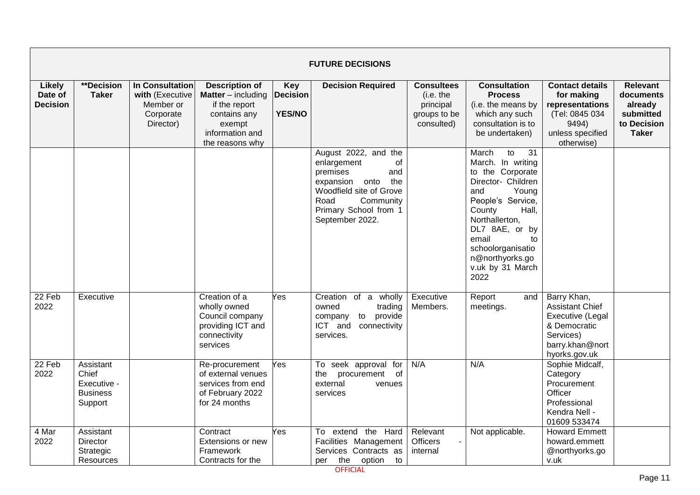|                                             | <b>FUTURE DECISIONS</b>                                         |                                                                                  |                                                                                                                                     |                                                |                                                                                                                                                                                      |                                                                           |                                                                                                                                                                                                                                                                              |                                                                                                                            |                                                                                     |  |  |  |
|---------------------------------------------|-----------------------------------------------------------------|----------------------------------------------------------------------------------|-------------------------------------------------------------------------------------------------------------------------------------|------------------------------------------------|--------------------------------------------------------------------------------------------------------------------------------------------------------------------------------------|---------------------------------------------------------------------------|------------------------------------------------------------------------------------------------------------------------------------------------------------------------------------------------------------------------------------------------------------------------------|----------------------------------------------------------------------------------------------------------------------------|-------------------------------------------------------------------------------------|--|--|--|
| <b>Likely</b><br>Date of<br><b>Decision</b> | **Decision<br><b>Taker</b>                                      | <b>In Consultation</b><br>with (Executive<br>Member or<br>Corporate<br>Director) | <b>Description of</b><br><b>Matter</b> – including<br>if the report<br>contains any<br>exempt<br>information and<br>the reasons why | <b>Key</b><br><b>Decision</b><br><b>YES/NO</b> | <b>Decision Required</b>                                                                                                                                                             | <b>Consultees</b><br>(i.e. the<br>principal<br>groups to be<br>consulted) | <b>Consultation</b><br><b>Process</b><br>(i.e. the means by<br>which any such<br>consultation is to<br>be undertaken)                                                                                                                                                        | <b>Contact details</b><br>for making<br>representations<br>(Tel: 0845 034<br>9494)<br>unless specified<br>otherwise)       | <b>Relevant</b><br>documents<br>already<br>submitted<br>to Decision<br><b>Taker</b> |  |  |  |
|                                             |                                                                 |                                                                                  |                                                                                                                                     |                                                | August 2022, and the<br>enlargement<br>0f<br>premises<br>and<br>the<br>onto<br>expansion<br>Woodfield site of Grove<br>Road<br>Community<br>Primary School from 1<br>September 2022. |                                                                           | $\overline{31}$<br>March<br>to<br>March. In writing<br>to the Corporate<br>Director- Children<br>Young<br>and<br>People's Service,<br>Hall,<br>County<br>Northallerton,<br>DL7 8AE, or by<br>email<br>to<br>schoolorganisatio<br>n@northyorks.go<br>v.uk by 31 March<br>2022 |                                                                                                                            |                                                                                     |  |  |  |
| 22 Feb<br>2022                              | Executive                                                       |                                                                                  | Creation of a<br>wholly owned<br>Council company<br>providing ICT and<br>connectivity<br>services                                   | Yes                                            | Creation of a wholly<br>trading<br>owned<br>to provide<br>company<br>ICT and<br>connectivity<br>services.                                                                            | Executive<br>Members.                                                     | Report<br>and<br>meetings.                                                                                                                                                                                                                                                   | Barry Khan,<br><b>Assistant Chief</b><br>Executive (Legal<br>& Democratic<br>Services)<br>barry.khan@nort<br>hyorks.gov.uk |                                                                                     |  |  |  |
| 22 Feb<br>2022                              | Assistant<br>Chief<br>Executive -<br><b>Business</b><br>Support |                                                                                  | Re-procurement<br>of external venues<br>services from end<br>of February 2022<br>for 24 months                                      | Yes                                            | To seek approval for<br>the<br>of<br>procurement<br>external<br>venues<br>services                                                                                                   | N/A                                                                       | N/A                                                                                                                                                                                                                                                                          | Sophie Midcalf,<br>Category<br>Procurement<br>Officer<br>Professional<br>Kendra Nell -<br>01609 533474                     |                                                                                     |  |  |  |
| 4 Mar<br>2022                               | Assistant<br><b>Director</b><br>Strategic<br>Resources          |                                                                                  | Contract<br>Extensions or new<br>Framework<br>Contracts for the                                                                     | Yes                                            | the Hard<br>To extend<br>Facilities Management<br>Services Contracts as<br>the<br>option<br>to<br>per                                                                                | Relevant<br><b>Officers</b><br>internal                                   | Not applicable.                                                                                                                                                                                                                                                              | <b>Howard Emmett</b><br>howard.emmett<br>@northyorks.go<br>v.uk                                                            |                                                                                     |  |  |  |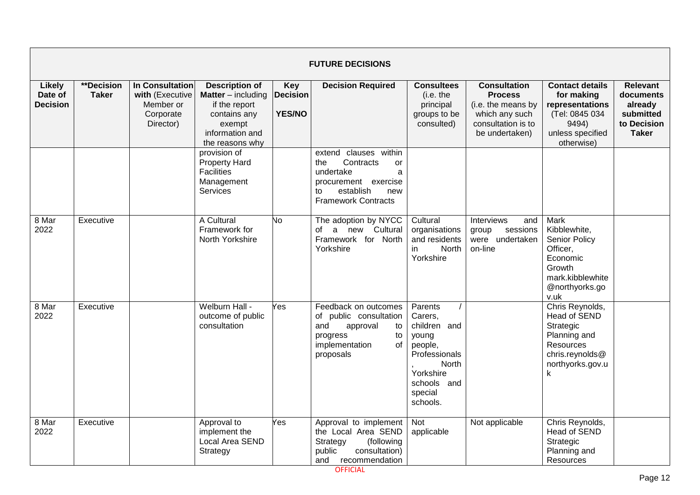|                                             |                                   |                                                                           |                                                                                                                              |                                                | <b>FUTURE DECISIONS</b>                                                                                                                           |                                                                                                                                     |                                                                                                                       |                                                                                                                                     |                                                                              |
|---------------------------------------------|-----------------------------------|---------------------------------------------------------------------------|------------------------------------------------------------------------------------------------------------------------------|------------------------------------------------|---------------------------------------------------------------------------------------------------------------------------------------------------|-------------------------------------------------------------------------------------------------------------------------------------|-----------------------------------------------------------------------------------------------------------------------|-------------------------------------------------------------------------------------------------------------------------------------|------------------------------------------------------------------------------|
| <b>Likely</b><br>Date of<br><b>Decision</b> | <b>**Decision</b><br><b>Taker</b> | In Consultation<br>with (Executive<br>Member or<br>Corporate<br>Director) | <b>Description of</b><br>Matter - including<br>if the report<br>contains any<br>exempt<br>information and<br>the reasons why | <b>Key</b><br><b>Decision</b><br><b>YES/NO</b> | <b>Decision Required</b>                                                                                                                          | <b>Consultees</b><br>(i.e. the<br>principal<br>groups to be<br>consulted)                                                           | <b>Consultation</b><br><b>Process</b><br>(i.e. the means by<br>which any such<br>consultation is to<br>be undertaken) | <b>Contact details</b><br>for making<br>representations<br>(Tel: 0845 034<br>9494)<br>unless specified<br>otherwise)                | Relevant<br>documents<br>already<br>submitted<br>to Decision<br><b>Taker</b> |
|                                             |                                   |                                                                           | provision of<br><b>Property Hard</b><br><b>Facilities</b><br>Management<br>Services                                          |                                                | extend clauses within<br>Contracts<br>the<br>or<br>undertake<br>a<br>procurement exercise<br>establish<br>to<br>new<br><b>Framework Contracts</b> |                                                                                                                                     |                                                                                                                       |                                                                                                                                     |                                                                              |
| 8 Mar<br>2022                               | Executive                         |                                                                           | A Cultural<br>Framework for<br>North Yorkshire                                                                               | No                                             | The adoption by NYCC<br>a new Cultural<br>of<br>Framework for North<br>Yorkshire                                                                  | Cultural<br>organisations<br>and residents<br><b>North</b><br>in<br>Yorkshire                                                       | Interviews<br>and<br>sessions<br>group<br>were undertaken<br>on-line                                                  | <b>Mark</b><br>Kibblewhite,<br><b>Senior Policy</b><br>Officer,<br>Economic<br>Growth<br>mark.kibblewhite<br>@northyorks.go<br>v.uk |                                                                              |
| 8 Mar<br>2022                               | Executive                         |                                                                           | Welburn Hall -<br>outcome of public<br>consultation                                                                          | Yes                                            | Feedback on outcomes<br>of public consultation<br>and<br>approval<br>to<br>progress<br>to<br>implementation<br>of<br>proposals                    | Parents<br>Carers,<br>children and<br>young<br>people,<br>Professionals<br>North<br>Yorkshire<br>schools and<br>special<br>schools. |                                                                                                                       | Chris Reynolds,<br><b>Head of SEND</b><br>Strategic<br>Planning and<br>Resources<br>chris.reynolds@<br>northyorks.gov.u<br>k        |                                                                              |
| 8 Mar<br>2022                               | Executive                         |                                                                           | Approval to<br>implement the<br>Local Area SEND<br>Strategy                                                                  | Yes                                            | Approval to implement<br>the Local Area SEND<br>Strategy<br>(following<br>public<br>consultation)<br>and recommendation                           | <b>Not</b><br>applicable                                                                                                            | Not applicable                                                                                                        | Chris Reynolds,<br><b>Head of SEND</b><br>Strategic<br>Planning and<br>Resources                                                    |                                                                              |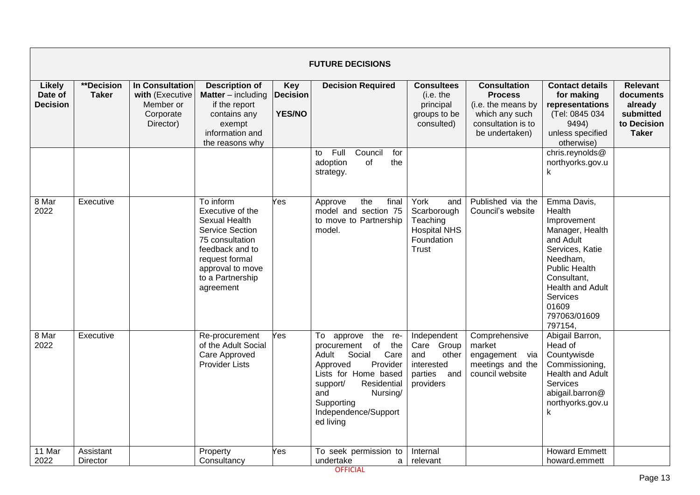|                                             |                                   |                                                                                  |                                                                                                                                                                                       |                                                | <b>FUTURE DECISIONS</b>                                                                                                                                                                                                          |                                                                                        |                                                                                                                       |                                                                                                                                                                                                                |                                                                              |
|---------------------------------------------|-----------------------------------|----------------------------------------------------------------------------------|---------------------------------------------------------------------------------------------------------------------------------------------------------------------------------------|------------------------------------------------|----------------------------------------------------------------------------------------------------------------------------------------------------------------------------------------------------------------------------------|----------------------------------------------------------------------------------------|-----------------------------------------------------------------------------------------------------------------------|----------------------------------------------------------------------------------------------------------------------------------------------------------------------------------------------------------------|------------------------------------------------------------------------------|
| <b>Likely</b><br>Date of<br><b>Decision</b> | <b>**Decision</b><br><b>Taker</b> | <b>In Consultation</b><br>with (Executive<br>Member or<br>Corporate<br>Director) | <b>Description of</b><br><b>Matter</b> $-$ including<br>if the report<br>contains any<br>exempt<br>information and<br>the reasons why                                                 | <b>Key</b><br><b>Decision</b><br><b>YES/NO</b> | <b>Decision Required</b>                                                                                                                                                                                                         | <b>Consultees</b><br>(i.e. the<br>principal<br>groups to be<br>consulted)              | <b>Consultation</b><br><b>Process</b><br>(i.e. the means by<br>which any such<br>consultation is to<br>be undertaken) | <b>Contact details</b><br>for making<br>representations<br>(Tel: 0845 034<br>9494)<br>unless specified<br>otherwise)                                                                                           | Relevant<br>documents<br>already<br>submitted<br>to Decision<br><b>Taker</b> |
|                                             |                                   |                                                                                  |                                                                                                                                                                                       |                                                | Full<br>Council<br>for<br>to<br>adoption<br>οf<br>the<br>strategy.                                                                                                                                                               |                                                                                        |                                                                                                                       | chris.reynolds@<br>northyorks.gov.u<br>k                                                                                                                                                                       |                                                                              |
| 8 Mar<br>2022                               | Executive                         |                                                                                  | To inform<br>Executive of the<br>Sexual Health<br><b>Service Section</b><br>75 consultation<br>feedback and to<br>request formal<br>approval to move<br>to a Partnership<br>agreement | Yes                                            | the<br>final<br>Approve<br>model and section 75<br>to move to Partnership<br>model.                                                                                                                                              | York<br>and<br>Scarborough<br>Teaching<br><b>Hospital NHS</b><br>Foundation<br>Trust   | Published via the<br>Council's website                                                                                | Emma Davis,<br>Health<br>Improvement<br>Manager, Health<br>and Adult<br>Services, Katie<br>Needham,<br><b>Public Health</b><br>Consultant,<br>Health and Adult<br>Services<br>01609<br>797063/01609<br>797154, |                                                                              |
| 8 Mar<br>2022<br>11 Mar                     | Executive<br>Assistant            |                                                                                  | Re-procurement<br>of the Adult Social<br>Care Approved<br><b>Provider Lists</b>                                                                                                       | Yes                                            | the<br>To approve<br>re-<br>of<br>the<br>procurement<br>Care<br>Adult<br>Social<br>Approved<br>Provider<br>Lists for Home based<br>support/<br>Residential<br>and<br>Nursing/<br>Supporting<br>Independence/Support<br>ed living | Independent<br>Care Group<br>and<br>other<br>interested<br>parties<br>and<br>providers | Comprehensive<br>market<br>engagement via<br>meetings and the<br>council website                                      | Abigail Barron,<br>Head of<br>Countywisde<br>Commissioning,<br>Health and Adult<br><b>Services</b><br>abigail.barron@<br>northyorks.gov.u<br>k<br><b>Howard Emmett</b>                                         |                                                                              |
| 2022                                        | <b>Director</b>                   |                                                                                  | Property<br>Consultancy                                                                                                                                                               | ⁄es                                            | To seek permission to<br>undertake<br>a                                                                                                                                                                                          | Internal<br>relevant                                                                   |                                                                                                                       | howard.emmett                                                                                                                                                                                                  |                                                                              |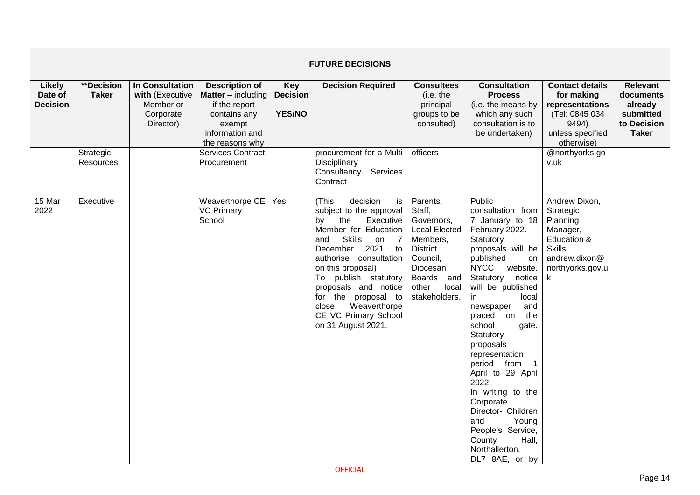|                                             |                            |                                                                           |                                                                                                                                       |                                                | <b>FUTURE DECISIONS</b>                                                                                                                                                                                                                                                                                                                              |                                                                                                                                                                  |                                                                                                                                                                                                                                                                                                                                                                                                                                                                                                                                          |                                                                                                                              |                                                                                     |
|---------------------------------------------|----------------------------|---------------------------------------------------------------------------|---------------------------------------------------------------------------------------------------------------------------------------|------------------------------------------------|------------------------------------------------------------------------------------------------------------------------------------------------------------------------------------------------------------------------------------------------------------------------------------------------------------------------------------------------------|------------------------------------------------------------------------------------------------------------------------------------------------------------------|------------------------------------------------------------------------------------------------------------------------------------------------------------------------------------------------------------------------------------------------------------------------------------------------------------------------------------------------------------------------------------------------------------------------------------------------------------------------------------------------------------------------------------------|------------------------------------------------------------------------------------------------------------------------------|-------------------------------------------------------------------------------------|
| <b>Likely</b><br>Date of<br><b>Decision</b> | **Decision<br><b>Taker</b> | In Consultation<br>with (Executive<br>Member or<br>Corporate<br>Director) | <b>Description of</b><br><b>Matter</b> $-$ including<br>if the report<br>contains any<br>exempt<br>information and<br>the reasons why | <b>Key</b><br><b>Decision</b><br><b>YES/NO</b> | <b>Decision Required</b>                                                                                                                                                                                                                                                                                                                             | <b>Consultees</b><br>(i.e. the<br>principal<br>groups to be<br>consulted)                                                                                        | <b>Consultation</b><br><b>Process</b><br>(i.e. the means by<br>which any such<br>consultation is to<br>be undertaken)                                                                                                                                                                                                                                                                                                                                                                                                                    | <b>Contact details</b><br>for making<br>representations<br>(Tel: 0845 034<br>9494)<br>unless specified<br>otherwise)         | <b>Relevant</b><br>documents<br>already<br>submitted<br>to Decision<br><b>Taker</b> |
|                                             | Strategic<br>Resources     |                                                                           | <b>Services Contract</b><br>Procurement                                                                                               |                                                | procurement for a Multi<br>Disciplinary<br>Consultancy Services<br>Contract                                                                                                                                                                                                                                                                          | officers                                                                                                                                                         |                                                                                                                                                                                                                                                                                                                                                                                                                                                                                                                                          | @northyorks.go<br>v.uk                                                                                                       |                                                                                     |
| 15 Mar<br>2022                              | Executive                  |                                                                           | Weaverthorpe CE<br><b>VC Primary</b><br>School                                                                                        | Yes                                            | (This<br>decision<br>is<br>subject to the approval<br>the<br>Executive<br>by<br>Member for Education<br>Skills<br>and<br>on 7<br>2021<br>December<br>to<br>authorise consultation<br>on this proposal)<br>To publish statutory<br>proposals and notice<br>for the proposal to<br>Weaverthorpe<br>close<br>CE VC Primary School<br>on 31 August 2021. | Parents,<br>Staff,<br>Governors,<br><b>Local Elected</b><br>Members,<br><b>District</b><br>Council,<br>Diocesan<br>Boards and<br>other<br>local<br>stakeholders. | Public<br>consultation from<br>7 January to 18<br>February 2022.<br>Statutory<br>proposals will be<br>published<br>on<br><b>NYCC</b><br>website.<br>Statutory<br>notice<br>will be published<br>in<br>local<br>and<br>newspaper<br>on<br>the<br>placed<br>school<br>gate.<br>Statutory<br>proposals<br>representation<br>period from<br>$\overline{1}$<br>April to 29 April<br>2022.<br>In writing to the<br>Corporate<br>Director- Children<br>Young<br>and<br>People's Service,<br>County<br>Hall,<br>Northallerton,<br>DL7 8AE, or by | Andrew Dixon,<br>Strategic<br>Planning<br>Manager,<br>Education &<br><b>Skills</b><br>andrew.dixon@<br>northyorks.gov.u<br>k |                                                                                     |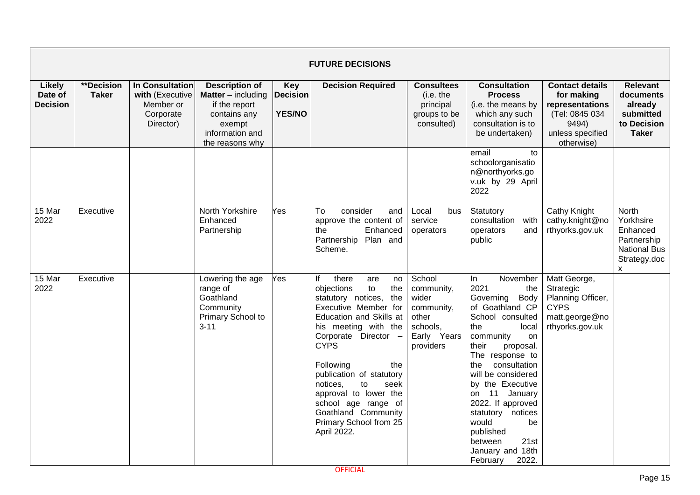|                                             |                                   |                                                                                  |                                                                                                                                       |                                                | <b>FUTURE DECISIONS</b>                                                                                                                                                                                                                                                                                                                                                                      |                                                                                              |                                                                                                                                                                                                                                                                                                                                                                                        |                                                                                                                      |                                                                                                            |
|---------------------------------------------|-----------------------------------|----------------------------------------------------------------------------------|---------------------------------------------------------------------------------------------------------------------------------------|------------------------------------------------|----------------------------------------------------------------------------------------------------------------------------------------------------------------------------------------------------------------------------------------------------------------------------------------------------------------------------------------------------------------------------------------------|----------------------------------------------------------------------------------------------|----------------------------------------------------------------------------------------------------------------------------------------------------------------------------------------------------------------------------------------------------------------------------------------------------------------------------------------------------------------------------------------|----------------------------------------------------------------------------------------------------------------------|------------------------------------------------------------------------------------------------------------|
| <b>Likely</b><br>Date of<br><b>Decision</b> | <b>**Decision</b><br><b>Taker</b> | <b>In Consultation</b><br>with (Executive<br>Member or<br>Corporate<br>Director) | <b>Description of</b><br><b>Matter</b> $-$ including<br>if the report<br>contains any<br>exempt<br>information and<br>the reasons why | <b>Key</b><br><b>Decision</b><br><b>YES/NO</b> | <b>Decision Required</b>                                                                                                                                                                                                                                                                                                                                                                     | <b>Consultees</b><br>(i.e. the<br>principal<br>groups to be<br>consulted)                    | <b>Consultation</b><br><b>Process</b><br>(i.e. the means by<br>which any such<br>consultation is to<br>be undertaken)                                                                                                                                                                                                                                                                  | <b>Contact details</b><br>for making<br>representations<br>(Tel: 0845 034<br>9494)<br>unless specified<br>otherwise) | <b>Relevant</b><br>documents<br>already<br>submitted<br>to Decision<br><b>Taker</b>                        |
|                                             |                                   |                                                                                  |                                                                                                                                       |                                                |                                                                                                                                                                                                                                                                                                                                                                                              |                                                                                              | email<br>to<br>schoolorganisatio<br>n@northyorks.go<br>v.uk by 29 April<br>2022                                                                                                                                                                                                                                                                                                        |                                                                                                                      |                                                                                                            |
| 15 Mar<br>2022                              | Executive                         |                                                                                  | North Yorkshire<br>Enhanced<br>Partnership                                                                                            | Yes                                            | consider<br>To<br>and<br>approve the content of<br>Enhanced<br>the<br>Partnership<br>Plan and<br>Scheme.                                                                                                                                                                                                                                                                                     | Local<br>bus<br>service<br>operators                                                         | Statutory<br>consultation<br>with<br>operators<br>and<br>public                                                                                                                                                                                                                                                                                                                        | Cathy Knight<br>cathy.knight@no<br>rthyorks.gov.uk                                                                   | North<br>Yorkhsire<br>Enhanced<br>Partnership<br><b>National Bus</b><br>Strategy.doc<br>$\pmb{\mathsf{X}}$ |
| 15 Mar<br>2022                              | Executive                         |                                                                                  | Lowering the age<br>range of<br>Goathland<br>Community<br>Primary School to<br>$3 - 11$                                               | Yes                                            | there<br>lf<br>are<br>no<br>objections<br>to<br>the<br>statutory notices,<br>the<br>Executive Member for<br>Education and Skills at<br>his meeting with the<br>Corporate Director -<br><b>CYPS</b><br>Following<br>the<br>publication of statutory<br>notices,<br>to<br>seek<br>approval to lower the<br>school age range of<br>Goathland Community<br>Primary School from 25<br>April 2022. | School<br>community,<br>wider<br>community,<br>other<br>schools,<br>Early Years<br>providers | November<br>In<br>2021<br>the<br>Governing Body<br>of Goathland CP<br>School consulted<br>the<br>local<br>community<br>on<br>their<br>proposal.<br>The response to<br>the<br>consultation<br>will be considered<br>by the Executive<br>on 11 January<br>2022. If approved<br>statutory notices<br>would<br>be<br>published<br>21st<br>between<br>January and 18th<br>2022.<br>February | Matt George,<br>Strategic<br>Planning Officer,<br><b>CYPS</b><br>matt.george@no<br>rthyorks.gov.uk                   |                                                                                                            |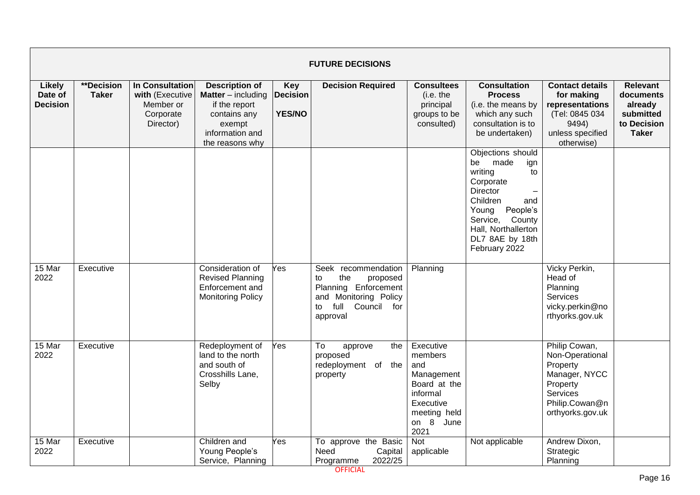|                                             |                                   |                                                                                  |                                                                                                                                     |                                                | <b>FUTURE DECISIONS</b>                                                                                                                   |                                                                                                                         |                                                                                                                                                                                                        |                                                                                                                             |                                                                              |
|---------------------------------------------|-----------------------------------|----------------------------------------------------------------------------------|-------------------------------------------------------------------------------------------------------------------------------------|------------------------------------------------|-------------------------------------------------------------------------------------------------------------------------------------------|-------------------------------------------------------------------------------------------------------------------------|--------------------------------------------------------------------------------------------------------------------------------------------------------------------------------------------------------|-----------------------------------------------------------------------------------------------------------------------------|------------------------------------------------------------------------------|
| <b>Likely</b><br>Date of<br><b>Decision</b> | <b>**Decision</b><br><b>Taker</b> | <b>In Consultation</b><br>with (Executive<br>Member or<br>Corporate<br>Director) | <b>Description of</b><br><b>Matter</b> – including<br>if the report<br>contains any<br>exempt<br>information and<br>the reasons why | <b>Key</b><br><b>Decision</b><br><b>YES/NO</b> | <b>Decision Required</b>                                                                                                                  | <b>Consultees</b><br>(i.e. the<br>principal<br>groups to be<br>consulted)                                               | <b>Consultation</b><br><b>Process</b><br>(i.e. the means by<br>which any such<br>consultation is to<br>be undertaken)                                                                                  | <b>Contact details</b><br>for making<br>representations<br>(Tel: 0845 034<br>9494)<br>unless specified<br>otherwise)        | Relevant<br>documents<br>already<br>submitted<br>to Decision<br><b>Taker</b> |
|                                             |                                   |                                                                                  |                                                                                                                                     |                                                |                                                                                                                                           |                                                                                                                         | Objections should<br>made<br>be<br>ign<br>writing<br>to<br>Corporate<br>Director<br>Children<br>and<br>People's<br>Young<br>Service, County<br>Hall, Northallerton<br>DL7 8AE by 18th<br>February 2022 |                                                                                                                             |                                                                              |
| 15 Mar<br>2022                              | Executive                         |                                                                                  | Consideration of<br><b>Revised Planning</b><br>Enforcement and<br><b>Monitoring Policy</b>                                          | Yes                                            | Seek recommendation<br>the<br>to<br>proposed<br>Planning Enforcement<br>and Monitoring Policy<br>full<br>Council<br>to<br>for<br>approval | Planning                                                                                                                |                                                                                                                                                                                                        | Vicky Perkin,<br>Head of<br>Planning<br><b>Services</b><br>vicky.perkin@no<br>rthyorks.gov.uk                               |                                                                              |
| 15 Mar<br>2022                              | Executive                         |                                                                                  | Redeployment of<br>land to the north<br>and south of<br>Crosshills Lane,<br>Selby                                                   | Yes                                            | To<br>approve<br>the<br>proposed<br>redeployment of the<br>property                                                                       | Executive<br>members<br>and<br>Management<br>Board at the<br>informal<br>Executive<br>meeting held<br>on 8 June<br>2021 |                                                                                                                                                                                                        | Philip Cowan,<br>Non-Operational<br>Property<br>Manager, NYCC<br>Property<br>Services<br>Philip.Cowan@n<br>orthyorks.gov.uk |                                                                              |
| 15 Mar<br>2022                              | Executive                         |                                                                                  | Children and<br>Young People's<br>Service, Planning                                                                                 | Yes                                            | To approve the Basic<br>Need<br>Capital<br>2022/25<br>Programme                                                                           | Not<br>applicable                                                                                                       | Not applicable                                                                                                                                                                                         | Andrew Dixon,<br>Strategic<br>Planning                                                                                      |                                                                              |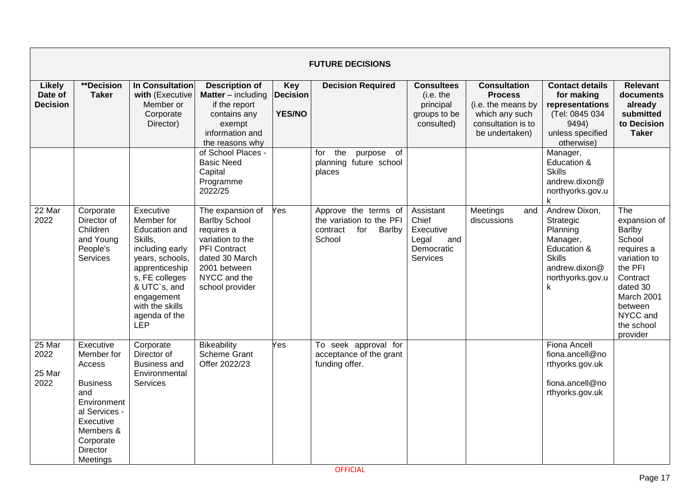|                                             |                                                                                                                                                                   |                                                                                                                                                                                                               |                                                                                                                                                                 |                                                | <b>FUTURE DECISIONS</b>                                                                 |                                                                           |                                                                                                                       |                                                                                                                              |                                                                                                                                                                         |
|---------------------------------------------|-------------------------------------------------------------------------------------------------------------------------------------------------------------------|---------------------------------------------------------------------------------------------------------------------------------------------------------------------------------------------------------------|-----------------------------------------------------------------------------------------------------------------------------------------------------------------|------------------------------------------------|-----------------------------------------------------------------------------------------|---------------------------------------------------------------------------|-----------------------------------------------------------------------------------------------------------------------|------------------------------------------------------------------------------------------------------------------------------|-------------------------------------------------------------------------------------------------------------------------------------------------------------------------|
| <b>Likely</b><br>Date of<br><b>Decision</b> | <b>**Decision</b><br><b>Taker</b>                                                                                                                                 | <b>In Consultation</b><br>with (Executive<br>Member or<br>Corporate<br>Director)                                                                                                                              | <b>Description of</b><br><b>Matter</b> – including<br>if the report<br>contains any<br>exempt<br>information and<br>the reasons why                             | <b>Key</b><br><b>Decision</b><br><b>YES/NO</b> | <b>Decision Required</b>                                                                | <b>Consultees</b><br>(i.e. the<br>principal<br>groups to be<br>consulted) | <b>Consultation</b><br><b>Process</b><br>(i.e. the means by<br>which any such<br>consultation is to<br>be undertaken) | <b>Contact details</b><br>for making<br>representations<br>(Tel: 0845 034<br>9494)<br>unless specified<br>otherwise)         | <b>Relevant</b><br>documents<br>already<br>submitted<br>to Decision<br><b>Taker</b>                                                                                     |
|                                             |                                                                                                                                                                   |                                                                                                                                                                                                               | of School Places -<br><b>Basic Need</b><br>Capital<br>Programme<br>2022/25                                                                                      |                                                | the<br>purpose of<br>for<br>planning future school<br>places                            |                                                                           |                                                                                                                       | Manager,<br>Education &<br><b>Skills</b><br>andrew.dixon@<br>northyorks.gov.u<br>k                                           |                                                                                                                                                                         |
| 22 Mar<br>2022                              | Corporate<br>Director of<br>Children<br>and Young<br>People's<br>Services                                                                                         | Executive<br>Member for<br>Education and<br>Skills,<br>including early<br>years, schools,<br>apprenticeship<br>s, FE colleges<br>& UTC`s, and<br>engagement<br>with the skills<br>agenda of the<br><b>LEP</b> | The expansion of<br><b>Barlby School</b><br>requires a<br>variation to the<br>PFI Contract<br>dated 30 March<br>2001 between<br>NYCC and the<br>school provider | Yes                                            | Approve the terms of<br>the variation to the PFI<br>for<br>contract<br>Barlby<br>School | Assistant<br>Chief<br>Executive<br>Legal<br>and<br>Democratic<br>Services | Meetings<br>and<br>discussions                                                                                        | Andrew Dixon,<br>Strategic<br>Planning<br>Manager,<br>Education &<br><b>Skills</b><br>andrew.dixon@<br>northyorks.gov.u<br>k | The<br>expansion of<br>Barlby<br>School<br>requires a<br>variation to<br>the PFI<br>Contract<br>dated 30<br>March 2001<br>between<br>NYCC and<br>the school<br>provider |
| 25 Mar<br>2022<br>25 Mar<br>2022            | Executive<br>Member for<br>Access<br><b>Business</b><br>and<br>Environment<br>al Services -<br>Executive<br>Members &<br>Corporate<br><b>Director</b><br>Meetings | Corporate<br>Director of<br><b>Business and</b><br>Environmental<br>Services                                                                                                                                  | Bikeability<br><b>Scheme Grant</b><br>Offer 2022/23                                                                                                             | Yes                                            | To seek approval for<br>acceptance of the grant<br>funding offer.                       |                                                                           |                                                                                                                       | <b>Fiona Ancell</b><br>fiona.ancell@no<br>rthyorks.gov.uk<br>fiona.ancell@no<br>rthyorks.gov.uk                              |                                                                                                                                                                         |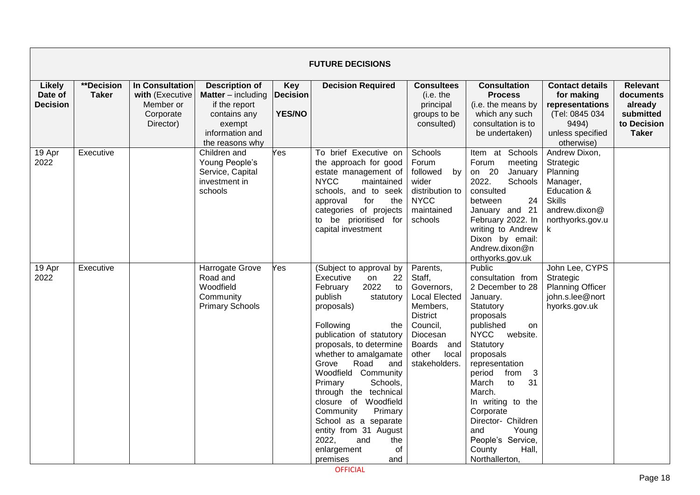|                                             |                            |                                                                           |                                                                                                                                       |                                                | <b>FUTURE DECISIONS</b>                                                                                                                                                                                                                                                                                                                                                                                                                                                             |                                                                                                                                                                            |                                                                                                                                                                                                                                                                                                                                                                                |                                                                                                                         |                                                                                     |
|---------------------------------------------|----------------------------|---------------------------------------------------------------------------|---------------------------------------------------------------------------------------------------------------------------------------|------------------------------------------------|-------------------------------------------------------------------------------------------------------------------------------------------------------------------------------------------------------------------------------------------------------------------------------------------------------------------------------------------------------------------------------------------------------------------------------------------------------------------------------------|----------------------------------------------------------------------------------------------------------------------------------------------------------------------------|--------------------------------------------------------------------------------------------------------------------------------------------------------------------------------------------------------------------------------------------------------------------------------------------------------------------------------------------------------------------------------|-------------------------------------------------------------------------------------------------------------------------|-------------------------------------------------------------------------------------|
| <b>Likely</b><br>Date of<br><b>Decision</b> | **Decision<br><b>Taker</b> | In Consultation<br>with (Executive<br>Member or<br>Corporate<br>Director) | <b>Description of</b><br><b>Matter</b> $-$ including<br>if the report<br>contains any<br>exempt<br>information and<br>the reasons why | <b>Key</b><br><b>Decision</b><br><b>YES/NO</b> | <b>Decision Required</b>                                                                                                                                                                                                                                                                                                                                                                                                                                                            | <b>Consultees</b><br>(i.e. the<br>principal<br>groups to be<br>consulted)                                                                                                  | <b>Consultation</b><br><b>Process</b><br>(i.e. the means by<br>which any such<br>consultation is to<br>be undertaken)                                                                                                                                                                                                                                                          | <b>Contact details</b><br>for making<br>representations<br>(Tel: 0845 034<br>9494)<br>unless specified<br>otherwise)    | <b>Relevant</b><br>documents<br>already<br>submitted<br>to Decision<br><b>Taker</b> |
| 19 Apr<br>2022                              | Executive                  |                                                                           | Children and<br>Young People's<br>Service, Capital<br>investment in<br>schools                                                        | Yes                                            | To brief Executive on<br>the approach for good<br>estate management of<br><b>NYCC</b><br>maintained<br>schools, and to seek<br>for<br>approval<br>the<br>categories of projects<br>to be prioritised for<br>capital investment                                                                                                                                                                                                                                                      | Schools<br>Forum<br>by<br>followed<br>wider<br>distribution to<br><b>NYCC</b><br>maintained<br>schools                                                                     | Item at Schools<br>Forum<br>meeting<br>on 20<br>January<br>2022.<br>Schools<br>consulted<br>24<br>between<br>January and 21<br>February 2022. In<br>writing to Andrew<br>Dixon by email:<br>Andrew.dixon@n<br>orthyorks.gov.uk                                                                                                                                                 | Andrew Dixon,<br>Strategic<br>Planning<br>Manager,<br>Education &<br><b>Skills</b><br>andrew.dixon@<br>northyorks.gov.u |                                                                                     |
| 19 Apr<br>2022                              | Executive                  |                                                                           | Harrogate Grove<br>Road and<br>Woodfield<br>Community<br><b>Primary Schools</b>                                                       | Yes                                            | (Subject to approval by<br>Executive<br>22<br>on<br>2022<br>February<br>to<br>publish<br>statutory<br>proposals)<br>Following<br>the<br>publication of statutory<br>proposals, to determine<br>whether to amalgamate<br>Road<br>Grove<br>and<br>Woodfield Community<br>Primary<br>Schools,<br>through the technical<br>closure of Woodfield<br>Primary<br>Community<br>School as a separate<br>entity from 31 August<br>2022.<br>and<br>the<br>of<br>enlargement<br>premises<br>and | Parents,<br>Staff,<br>Governors,<br><b>Local Elected</b><br>Members,<br><b>District</b><br>Council,<br>Diocesan<br><b>Boards</b><br>and<br>other<br>local<br>stakeholders. | <b>Public</b><br>consultation from<br>2 December to 28<br>January.<br>Statutory<br>proposals<br>published<br>on<br><b>NYCC</b><br>website.<br>Statutory<br>proposals<br>representation<br>period<br>from<br>3<br>March<br>to<br>31<br>March.<br>In writing to the<br>Corporate<br>Director- Children<br>Young<br>and<br>People's Service,<br>County<br>Hall,<br>Northallerton, | John Lee, CYPS<br>Strategic<br><b>Planning Officer</b><br>john.s.lee@nort<br>hyorks.gov.uk                              |                                                                                     |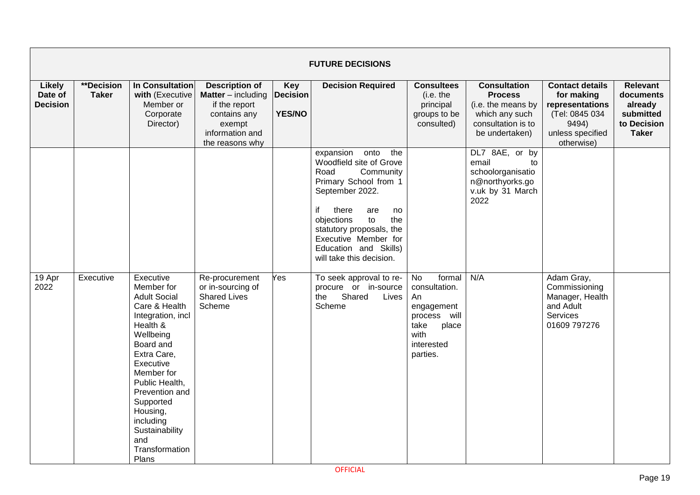|                                             |                            |                                                                                                                                                                                                                                                                                                    |                                                                                                                                     |                                                | <b>FUTURE DECISIONS</b>                                                                                                                                                                                                                                                              |                                                                                                                      |                                                                                                                       |                                                                                                                      |                                                                                     |
|---------------------------------------------|----------------------------|----------------------------------------------------------------------------------------------------------------------------------------------------------------------------------------------------------------------------------------------------------------------------------------------------|-------------------------------------------------------------------------------------------------------------------------------------|------------------------------------------------|--------------------------------------------------------------------------------------------------------------------------------------------------------------------------------------------------------------------------------------------------------------------------------------|----------------------------------------------------------------------------------------------------------------------|-----------------------------------------------------------------------------------------------------------------------|----------------------------------------------------------------------------------------------------------------------|-------------------------------------------------------------------------------------|
| <b>Likely</b><br>Date of<br><b>Decision</b> | **Decision<br><b>Taker</b> | In Consultation<br>with (Executive<br>Member or<br>Corporate<br>Director)                                                                                                                                                                                                                          | <b>Description of</b><br><b>Matter</b> – including<br>if the report<br>contains any<br>exempt<br>information and<br>the reasons why | <b>Key</b><br><b>Decision</b><br><b>YES/NO</b> | <b>Decision Required</b>                                                                                                                                                                                                                                                             | <b>Consultees</b><br>(i.e. the<br>principal<br>groups to be<br>consulted)                                            | <b>Consultation</b><br><b>Process</b><br>(i.e. the means by<br>which any such<br>consultation is to<br>be undertaken) | <b>Contact details</b><br>for making<br>representations<br>(Tel: 0845 034<br>9494)<br>unless specified<br>otherwise) | <b>Relevant</b><br>documents<br>already<br>submitted<br>to Decision<br><b>Taker</b> |
|                                             |                            |                                                                                                                                                                                                                                                                                                    |                                                                                                                                     |                                                | expansion<br>onto<br>the<br>Woodfield site of Grove<br>Road<br>Community<br>Primary School from 1<br>September 2022.<br>if<br>there<br>are<br>no<br>to<br>objections<br>the<br>statutory proposals, the<br>Executive Member for<br>Education and Skills)<br>will take this decision. |                                                                                                                      | DL7 8AE, or by<br>email<br>to<br>schoolorganisatio<br>n@northyorks.go<br>v.uk by 31 March<br>2022                     |                                                                                                                      |                                                                                     |
| $19$ Apr<br>2022                            | Executive                  | Executive<br>Member for<br><b>Adult Social</b><br>Care & Health<br>Integration, incl<br>Health &<br>Wellbeing<br>Board and<br>Extra Care,<br>Executive<br>Member for<br>Public Health,<br>Prevention and<br>Supported<br>Housing,<br>including<br>Sustainability<br>and<br>Transformation<br>Plans | Re-procurement<br>or in-sourcing of<br><b>Shared Lives</b><br>Scheme                                                                | Yes                                            | To seek approval to re-<br>procure or in-source<br>Shared<br>the<br>Lives<br>Scheme                                                                                                                                                                                                  | No<br>formal<br>consultation.<br>An<br>engagement<br>process will<br>take<br>place<br>with<br>interested<br>parties. | N/A                                                                                                                   | Adam Gray,<br>Commissioning<br>Manager, Health<br>and Adult<br>Services<br>01609 797276                              |                                                                                     |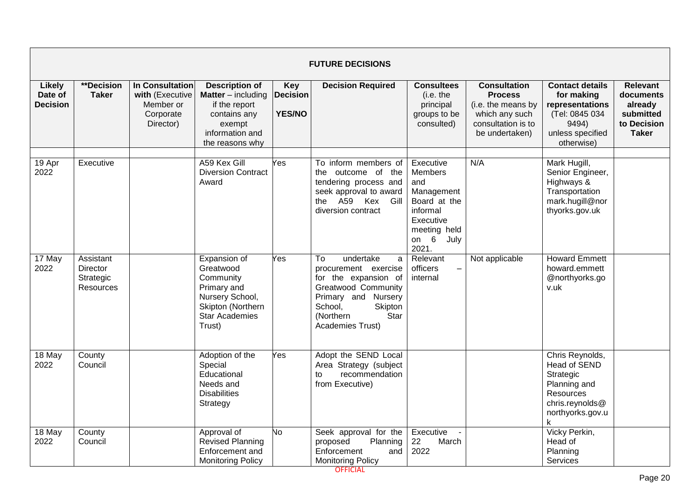|                                             |                                                 |                                                                                  |                                                                                                                                       |                                         | <b>FUTURE DECISIONS</b>                                                                                                                                                                  |                                                                                                                                      |                                                                                                                       |                                                                                                                      |                                                                                     |
|---------------------------------------------|-------------------------------------------------|----------------------------------------------------------------------------------|---------------------------------------------------------------------------------------------------------------------------------------|-----------------------------------------|------------------------------------------------------------------------------------------------------------------------------------------------------------------------------------------|--------------------------------------------------------------------------------------------------------------------------------------|-----------------------------------------------------------------------------------------------------------------------|----------------------------------------------------------------------------------------------------------------------|-------------------------------------------------------------------------------------|
| <b>Likely</b><br>Date of<br><b>Decision</b> | **Decision<br><b>Taker</b>                      | <b>In Consultation</b><br>with (Executive<br>Member or<br>Corporate<br>Director) | <b>Description of</b><br><b>Matter</b> $-$ including<br>if the report<br>contains any<br>exempt<br>information and<br>the reasons why | Key<br><b>Decision</b><br><b>YES/NO</b> | <b>Decision Required</b>                                                                                                                                                                 | <b>Consultees</b><br>(i.e. the<br>principal<br>groups to be<br>consulted)                                                            | <b>Consultation</b><br><b>Process</b><br>(i.e. the means by<br>which any such<br>consultation is to<br>be undertaken) | <b>Contact details</b><br>for making<br>representations<br>(Tel: 0845 034<br>9494)<br>unless specified<br>otherwise) | <b>Relevant</b><br>documents<br>already<br>submitted<br>to Decision<br><b>Taker</b> |
| 19 Apr<br>2022                              | Executive                                       |                                                                                  | A59 Kex Gill<br><b>Diversion Contract</b><br>Award                                                                                    | Yes                                     | To inform members of<br>the outcome of the<br>tendering process and<br>seek approval to award<br>the A59 Kex<br>Gill<br>diversion contract                                               | Executive<br><b>Members</b><br>and<br>Management<br>Board at the<br>informal<br>Executive<br>meeting held<br>on $6$<br>July<br>2021. | N/A                                                                                                                   | Mark Hugill,<br>Senior Engineer,<br>Highways &<br>Transportation<br>mark.hugill@nor<br>thyorks.gov.uk                |                                                                                     |
| $17$ May<br>2022                            | Assistant<br>Director<br>Strategic<br>Resources |                                                                                  | Expansion of<br>Greatwood<br>Community<br>Primary and<br>Nursery School,<br>Skipton (Northern<br><b>Star Academies</b><br>Trust)      | Yes                                     | To<br>undertake<br>a<br>procurement exercise<br>for the expansion of<br><b>Greatwood Community</b><br>Primary and Nursery<br>Skipton<br>School,<br>(Northern<br>Star<br>Academies Trust) | Relevant<br>officers<br>$\qquad \qquad \blacksquare$<br>internal                                                                     | Not applicable                                                                                                        | <b>Howard Emmett</b><br>howard.emmett<br>@northyorks.go<br>v.uk                                                      |                                                                                     |
| 18 May<br>2022                              | County<br>Council                               |                                                                                  | Adoption of the<br>Special<br>Educational<br>Needs and<br><b>Disabilities</b><br>Strategy                                             | Yes                                     | Adopt the SEND Local<br>Area Strategy (subject<br>recommendation<br>to<br>from Executive)                                                                                                |                                                                                                                                      |                                                                                                                       | Chris Reynolds,<br>Head of SEND<br>Strategic<br>Planning and<br>Resources<br>chris.reynolds@<br>northyorks.gov.u     |                                                                                     |
| 18 May<br>2022                              | County<br>Council                               |                                                                                  | Approval of<br><b>Revised Planning</b><br>Enforcement and<br><b>Monitoring Policy</b>                                                 | No                                      | Seek approval for the<br>proposed<br>Planning<br>Enforcement<br>and<br><b>Monitoring Policy</b>                                                                                          | Executive<br>22<br>March<br>2022                                                                                                     |                                                                                                                       | Vicky Perkin,<br>Head of<br>Planning<br>Services                                                                     |                                                                                     |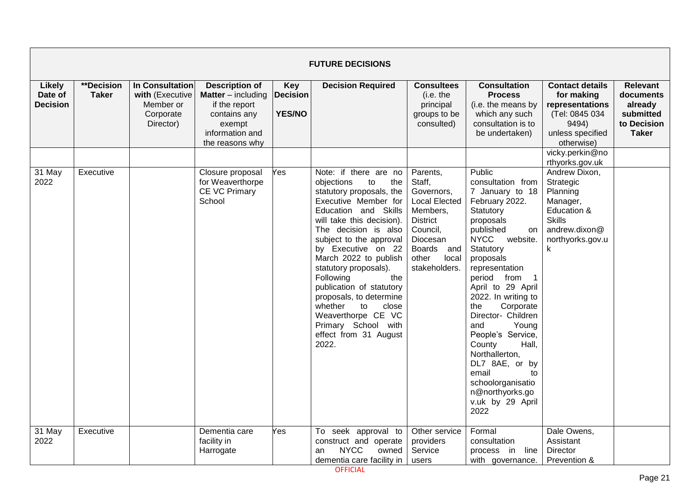|                                             |                            |                                                                           |                                                                                                                                       |                                                | <b>FUTURE DECISIONS</b>                                                                                                                                                                                                                                                                                                                                                                                                                                                  |                                                                                                                                                                            |                                                                                                                                                                                                                                                                                                                                                                                                                                                                                            |                                                                                                                                                                    |                                                                                     |
|---------------------------------------------|----------------------------|---------------------------------------------------------------------------|---------------------------------------------------------------------------------------------------------------------------------------|------------------------------------------------|--------------------------------------------------------------------------------------------------------------------------------------------------------------------------------------------------------------------------------------------------------------------------------------------------------------------------------------------------------------------------------------------------------------------------------------------------------------------------|----------------------------------------------------------------------------------------------------------------------------------------------------------------------------|--------------------------------------------------------------------------------------------------------------------------------------------------------------------------------------------------------------------------------------------------------------------------------------------------------------------------------------------------------------------------------------------------------------------------------------------------------------------------------------------|--------------------------------------------------------------------------------------------------------------------------------------------------------------------|-------------------------------------------------------------------------------------|
| <b>Likely</b><br>Date of<br><b>Decision</b> | **Decision<br><b>Taker</b> | In Consultation<br>with (Executive<br>Member or<br>Corporate<br>Director) | <b>Description of</b><br><b>Matter</b> $-$ including<br>if the report<br>contains any<br>exempt<br>information and<br>the reasons why | <b>Key</b><br><b>Decision</b><br><b>YES/NO</b> | <b>Decision Required</b>                                                                                                                                                                                                                                                                                                                                                                                                                                                 | <b>Consultees</b><br>(i.e. the<br>principal<br>groups to be<br>consulted)                                                                                                  | <b>Consultation</b><br><b>Process</b><br>(i.e. the means by<br>which any such<br>consultation is to<br>be undertaken)                                                                                                                                                                                                                                                                                                                                                                      | <b>Contact details</b><br>for making<br>representations<br>(Tel: 0845 034<br>9494)<br>unless specified<br>otherwise)                                               | <b>Relevant</b><br>documents<br>already<br>submitted<br>to Decision<br><b>Taker</b> |
| 31 May<br>2022                              | Executive                  |                                                                           | Closure proposal<br>for Weaverthorpe<br>CE VC Primary<br>School                                                                       | Yes.                                           | Note: if there are no<br>objections<br>to<br>the<br>statutory proposals, the<br>Executive Member for<br>Education and Skills<br>will take this decision).<br>The decision is also<br>subject to the approval<br>by Executive on 22<br>March 2022 to publish<br>statutory proposals).<br>Following<br>the<br>publication of statutory<br>proposals, to determine<br>whether<br>close<br>to<br>Weaverthorpe CE VC<br>Primary School with<br>effect from 31 August<br>2022. | Parents,<br>Staff,<br>Governors,<br><b>Local Elected</b><br>Members,<br><b>District</b><br>Council,<br>Diocesan<br><b>Boards</b><br>and<br>other<br>local<br>stakeholders. | Public<br>consultation from<br>7 January to 18<br>February 2022.<br>Statutory<br>proposals<br>published<br>on<br><b>NYCC</b><br>website.<br>Statutory<br>proposals<br>representation<br>period from<br>$\overline{1}$<br>April to 29 April<br>2022. In writing to<br>the<br>Corporate<br>Director- Children<br>Young<br>and<br>People's Service,<br>County<br>Hall,<br>Northallerton,<br>DL7 8AE, or by<br>email<br>to<br>schoolorganisatio<br>n@northyorks.go<br>v.uk by 29 April<br>2022 | vicky.perkin@no<br>rthyorks.gov.uk<br>Andrew Dixon,<br>Strategic<br>Planning<br>Manager,<br>Education &<br><b>Skills</b><br>andrew.dixon@<br>northyorks.gov.u<br>k |                                                                                     |
| 31 May<br>2022                              | Executive                  |                                                                           | Dementia care<br>facility in<br>Harrogate                                                                                             | Yes                                            | To seek approval to<br>construct and operate<br><b>NYCC</b><br>owned<br>an<br>dementia care facility in                                                                                                                                                                                                                                                                                                                                                                  | Other service<br>providers<br>Service<br>users                                                                                                                             | Formal<br>consultation<br>process in line<br>with governance.                                                                                                                                                                                                                                                                                                                                                                                                                              | Dale Owens,<br>Assistant<br>Director<br>Prevention &                                                                                                               |                                                                                     |